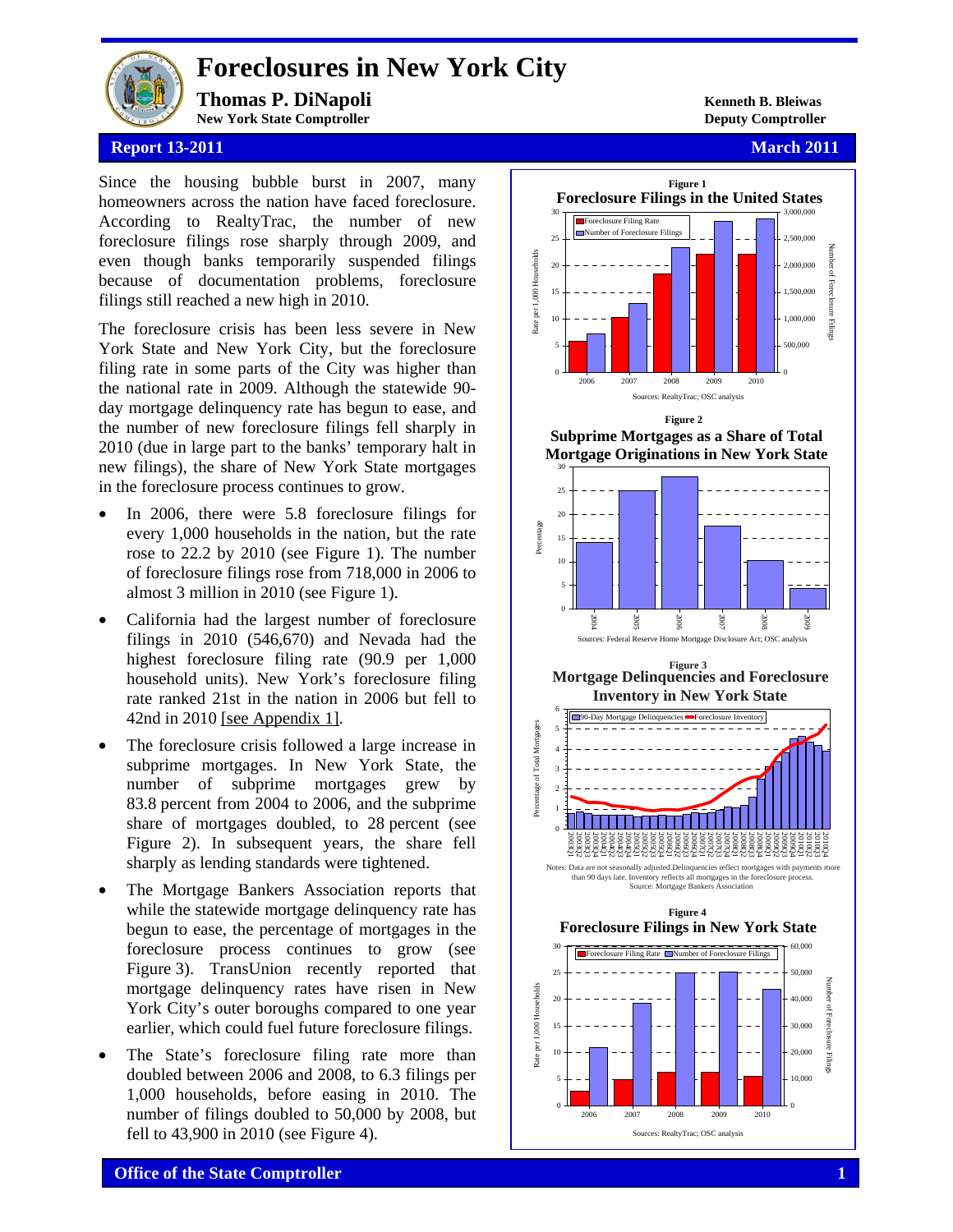

# **Foreclosures in New York City**

**Thomas P. DiNapoli** Kenneth B. Bleiwas **New York State Comptroller Deputy Comptroller**

# **Report 13-2011 March 2011 March 2011 March 2011**

Since the housing bubble burst in 2007, many homeowners across the nation have faced foreclosure. According to RealtyTrac, the number of new foreclosure filings rose sharply through 2009, and even though banks temporarily suspended filings because of documentation problems, foreclosure filings still reached a new high in 2010.

The foreclosure crisis has been less severe in New York State and New York City, but the foreclosure filing rate in some parts of the City was higher than the national rate in 2009. Although the statewide 90 day mortgage delinquency rate has begun to ease, and the number of new foreclosure filings fell sharply in 2010 (due in large part to the banks' temporary halt in new filings), the share of New York State mortgages in the foreclosure process continues to grow.

- In 2006, there were 5.8 foreclosure filings for every 1,000 households in the nation, but the rate rose to 22.2 by 2010 (see Figure 1). The number of foreclosure filings rose from 718,000 in 2006 to almost 3 million in 2010 (see Figure 1).
- California had the largest number of foreclosure filings in 2010 (546,670) and Nevada had the highest foreclosure filing rate (90.9 per 1,000 household units). New York's foreclosure filing rate ranked 21st in the nation in 2006 but fell to 42nd in 2010 [see Appendix 1].
- The foreclosure crisis followed a large increase in subprime mortgages. In New York State, the number of subprime mortgages grew by 83.8 percent from 2004 to 2006, and the subprime share of mortgages doubled, to 28 percent (see Figure 2). In subsequent years, the share fell sharply as lending standards were tightened.
- The Mortgage Bankers Association reports that while the statewide mortgage delinquency rate has begun to ease, the percentage of mortgages in the foreclosure process continues to grow (see Figure 3). TransUnion recently reported that mortgage delinquency rates have risen in New York City's outer boroughs compared to one year earlier, which could fuel future foreclosure filings.
- The State's foreclosure filing rate more than doubled between 2006 and 2008, to 6.3 filings per 1,000 households, before easing in 2010. The number of filings doubled to 50,000 by 2008, but fell to 43,900 in 2010 (see Figure 4).

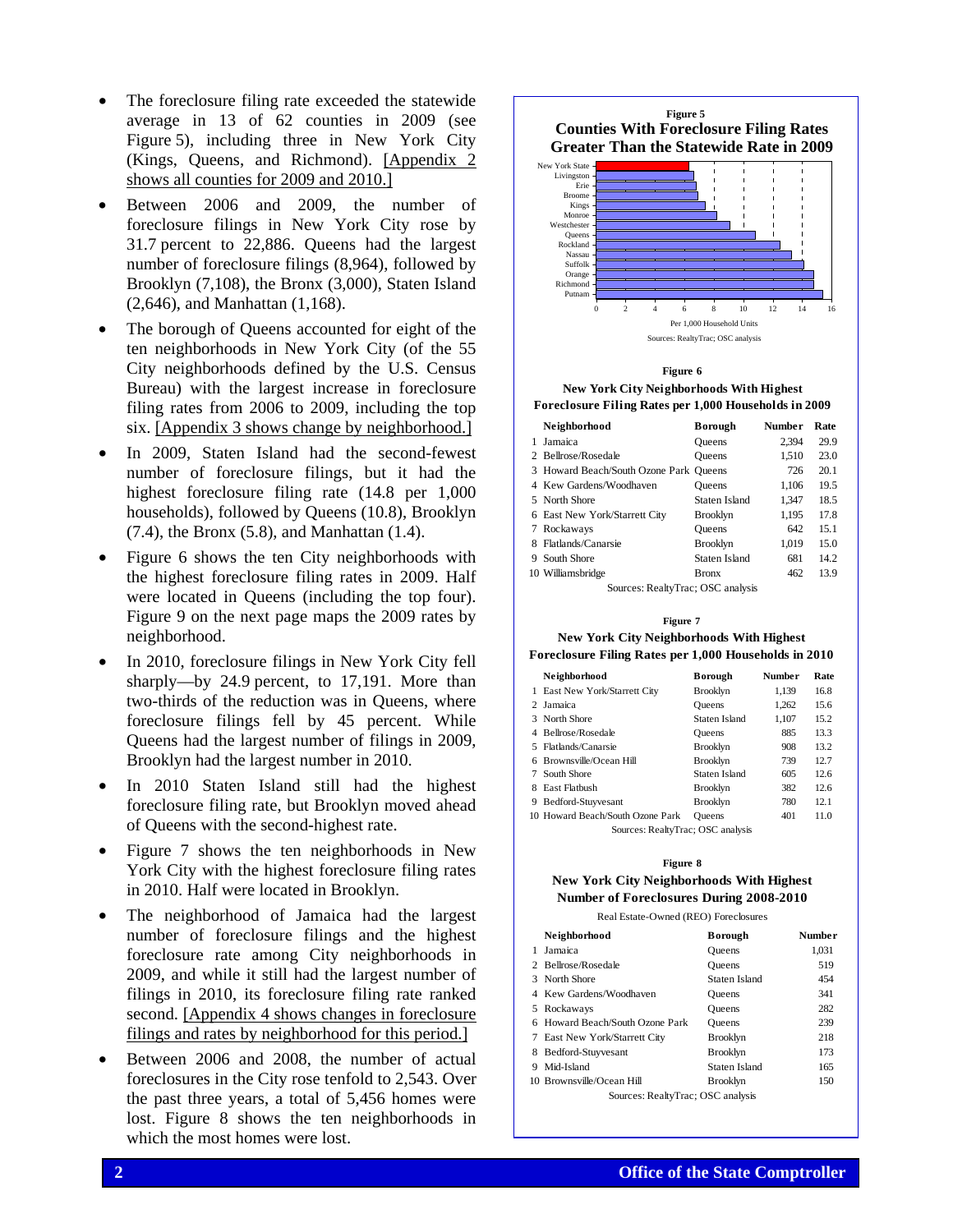- The foreclosure filing rate exceeded the statewide average in 13 of 62 counties in 2009 (see Figure 5), including three in New York City (Kings, Queens, and Richmond). [Appendix 2 shows all counties for 2009 and 2010.]
- Between 2006 and 2009, the number of foreclosure filings in New York City rose by 31.7 percent to 22,886. Queens had the largest number of foreclosure filings (8,964), followed by Brooklyn (7,108), the Bronx (3,000), Staten Island (2,646), and Manhattan (1,168).
- The borough of Queens accounted for eight of the ten neighborhoods in New York City (of the 55 City neighborhoods defined by the U.S. Census Bureau) with the largest increase in foreclosure filing rates from 2006 to 2009, including the top six. [Appendix 3 shows change by neighborhood.]
- In 2009, Staten Island had the second-fewest number of foreclosure filings, but it had the highest foreclosure filing rate (14.8 per 1,000 households), followed by Queens (10.8), Brooklyn (7.4), the Bronx (5.8), and Manhattan (1.4).
- Figure 6 shows the ten City neighborhoods with the highest foreclosure filing rates in 2009. Half were located in Queens (including the top four). Figure 9 on the next page maps the 2009 rates by neighborhood.
- In 2010, foreclosure filings in New York City fell sharply—by 24.9 percent, to 17,191. More than two-thirds of the reduction was in Queens, where foreclosure filings fell by 45 percent. While Queens had the largest number of filings in 2009, Brooklyn had the largest number in 2010.
- In 2010 Staten Island still had the highest foreclosure filing rate, but Brooklyn moved ahead of Queens with the second-highest rate.
- Figure 7 shows the ten neighborhoods in New York City with the highest foreclosure filing rates in 2010. Half were located in Brooklyn.
- The neighborhood of Jamaica had the largest number of foreclosure filings and the highest foreclosure rate among City neighborhoods in 2009, and while it still had the largest number of filings in 2010, its foreclosure filing rate ranked second. [Appendix 4 shows changes in foreclosure filings and rates by neighborhood for this period.]
- Between 2006 and 2008, the number of actual foreclosures in the City rose tenfold to 2,543. Over the past three years, a total of 5,456 homes were lost. Figure 8 shows the ten neighborhoods in which the most homes were lost.



**Figure 6 New York City Neighborhoods With Highest Foreclosure Filing Rates per 1,000 Households in 2009** 

| Neighborhood                                                                                                                                                                                                                                                                                                                                                                                                                                             | <b>Borough</b>  | <b>Number</b> | Rate |
|----------------------------------------------------------------------------------------------------------------------------------------------------------------------------------------------------------------------------------------------------------------------------------------------------------------------------------------------------------------------------------------------------------------------------------------------------------|-----------------|---------------|------|
| Jamaica                                                                                                                                                                                                                                                                                                                                                                                                                                                  | Oueens          | 2.394         | 29.9 |
| 2 Bellrose/Rosedale                                                                                                                                                                                                                                                                                                                                                                                                                                      | Oueens          | 1.510         | 23.0 |
| 3 Howard Beach/South Ozone Park Queens                                                                                                                                                                                                                                                                                                                                                                                                                   |                 | 726           | 20.1 |
| 4 Kew Gardens/Woodhaven                                                                                                                                                                                                                                                                                                                                                                                                                                  | Oueens          | 1.106         | 19.5 |
| 5 North Shore                                                                                                                                                                                                                                                                                                                                                                                                                                            | Staten Island   | 1.347         | 18.5 |
| 6 East New York/Starrett City                                                                                                                                                                                                                                                                                                                                                                                                                            | Brooklyn        | 1,195         | 17.8 |
| 7 Rockaways                                                                                                                                                                                                                                                                                                                                                                                                                                              | Oueens          | 642           | 15.1 |
| Flatlands/Canarsie                                                                                                                                                                                                                                                                                                                                                                                                                                       | <b>Brooklyn</b> | 1.019         | 15.0 |
| 9 South Shore                                                                                                                                                                                                                                                                                                                                                                                                                                            | Staten Island   | 681           | 14.2 |
| 10 Williamsbridge                                                                                                                                                                                                                                                                                                                                                                                                                                        | <b>Bronx</b>    | 462           | 13.9 |
| $\alpha$ <b>b</b> $\alpha$ <b>c</b> $\alpha$ <b>c</b> $\alpha$ <b>c</b> $\alpha$ <b>c</b> $\alpha$ <b>c</b> $\alpha$ <b>c</b> $\alpha$ <b>c</b> $\alpha$ <b>c</b> $\alpha$ <b>c</b> $\alpha$ <b>c</b> $\alpha$ <b>c</b> $\alpha$ <b>c</b> $\alpha$ <b>c</b> $\alpha$ <b>c</b> $\alpha$ <b>c</b> $\alpha$ <b>c</b> $\alpha$ <b>c</b> $\alpha$ <b>c</b> $\alpha$ <b>c</b> $\alpha$ <b>c</b> $\alpha$ <b>c</b> $\alpha$ <b>c</b> $\alpha$ <b>c</b> $\alpha$ |                 |               |      |

Sources: RealtyTrac; OSC analysis

### **New York City Neighborhoods With Highest Foreclosure Filing Rates per 1,000 Households in 2010 Figure 7**

|                                   | Neighborhood                     | <b>Borough</b>  | <b>Number</b> | Rate |  |
|-----------------------------------|----------------------------------|-----------------|---------------|------|--|
| 1                                 | East New York/Starrett City      | <b>Brooklyn</b> | 1.139         | 16.8 |  |
| $\mathcal{D}$                     | Jamaica                          | <b>Oueens</b>   | 1.262         | 15.6 |  |
| 3                                 | North Shore                      | Staten Island   | 1.107         | 15.2 |  |
| 4                                 | Bellrose/Rosedale                | <b>Oueens</b>   | 885           | 13.3 |  |
| 5                                 | Flatlands/Canarsie               | <b>Brooklyn</b> | 908           | 13.2 |  |
| 6                                 | Brownsville/Ocean Hill           | <b>Brooklyn</b> | 739           | 12.7 |  |
| 7                                 | South Shore                      | Staten Island   | 605           | 12.6 |  |
| 8                                 | <b>East Flathush</b>             | <b>Brooklyn</b> | 382           | 12.6 |  |
| 9                                 | Bedford-Stuyvesant               | <b>Brooklyn</b> | 780           | 12.1 |  |
|                                   | 10 Howard Beach/South Ozone Park | <b>Oueens</b>   | 401           | 11.0 |  |
| Sources: RealtyTrac; OSC analysis |                                  |                 |               |      |  |

### **Figure 8**

### **New York City Neighborhoods With Highest Number of Foreclosures During 2008-2010**

Real Estate-Owned (REO) Foreclosures

|   | Neighborhood                      | <b>Borough</b>  | <b>Number</b> |  |  |
|---|-----------------------------------|-----------------|---------------|--|--|
|   | Jamaica                           | <b>Oueens</b>   | 1.031         |  |  |
|   | 2 Bellrose/Rosedale               | <b>Oueens</b>   | 519           |  |  |
|   | 3 North Shore                     | Staten Island   | 454           |  |  |
|   | 4 Kew Gardens/Woodhaven           | <b>Oueens</b>   | 341           |  |  |
| 5 | Rockaways                         | <b>Oueens</b>   | 282           |  |  |
|   | 6 Howard Beach/South Ozone Park   | <b>Oueens</b>   | 239           |  |  |
| 7 | East New York/Starrett City       | <b>Brooklyn</b> | 218           |  |  |
| 8 | Bedford-Stuyvesant                | <b>Brooklyn</b> | 173           |  |  |
| 9 | Mid-Island                        | Staten Island   | 165           |  |  |
|   | 10 Brownsville/Ocean Hill         | <b>Brooklyn</b> | 150           |  |  |
|   | Sources: RealtyTrac; OSC analysis |                 |               |  |  |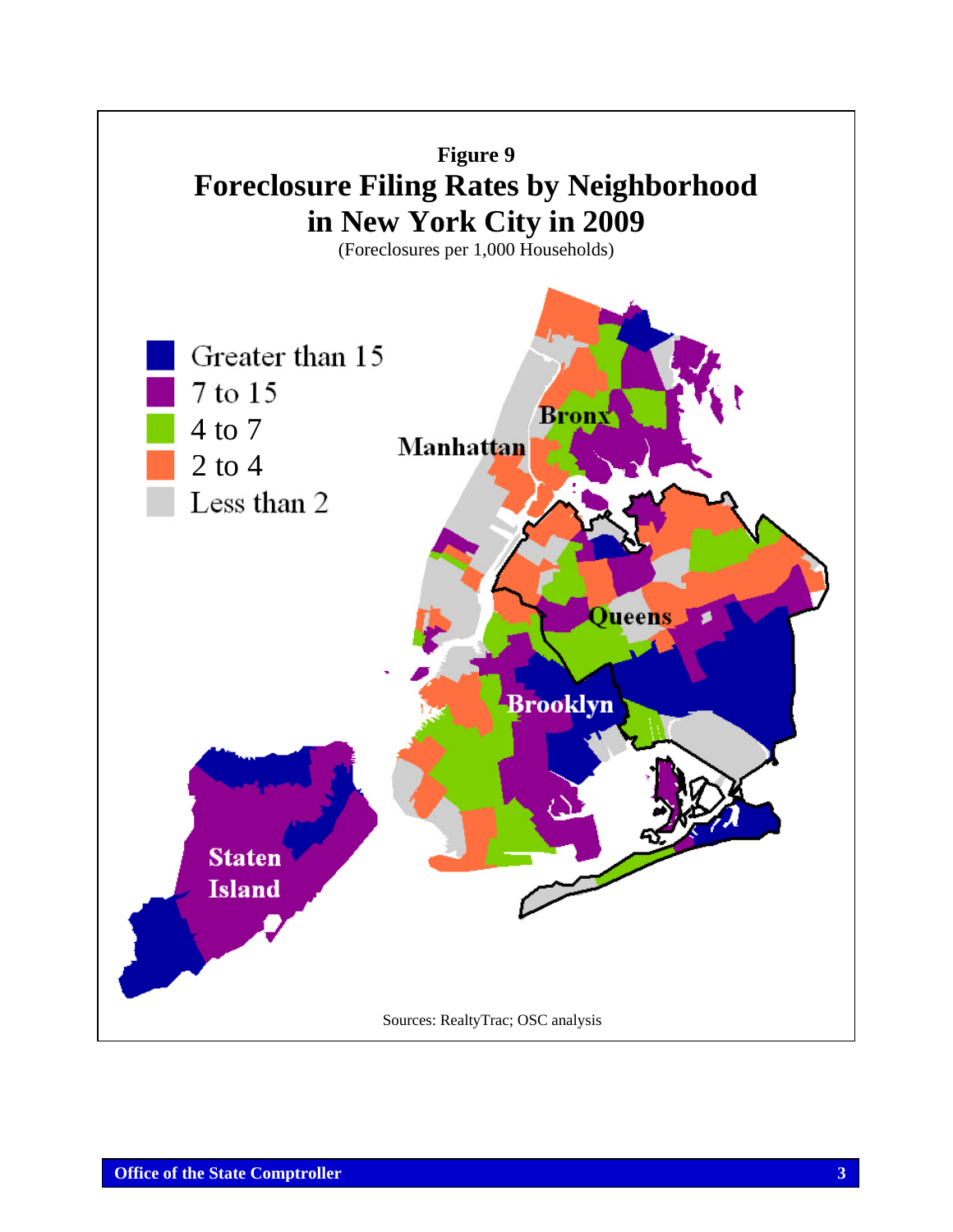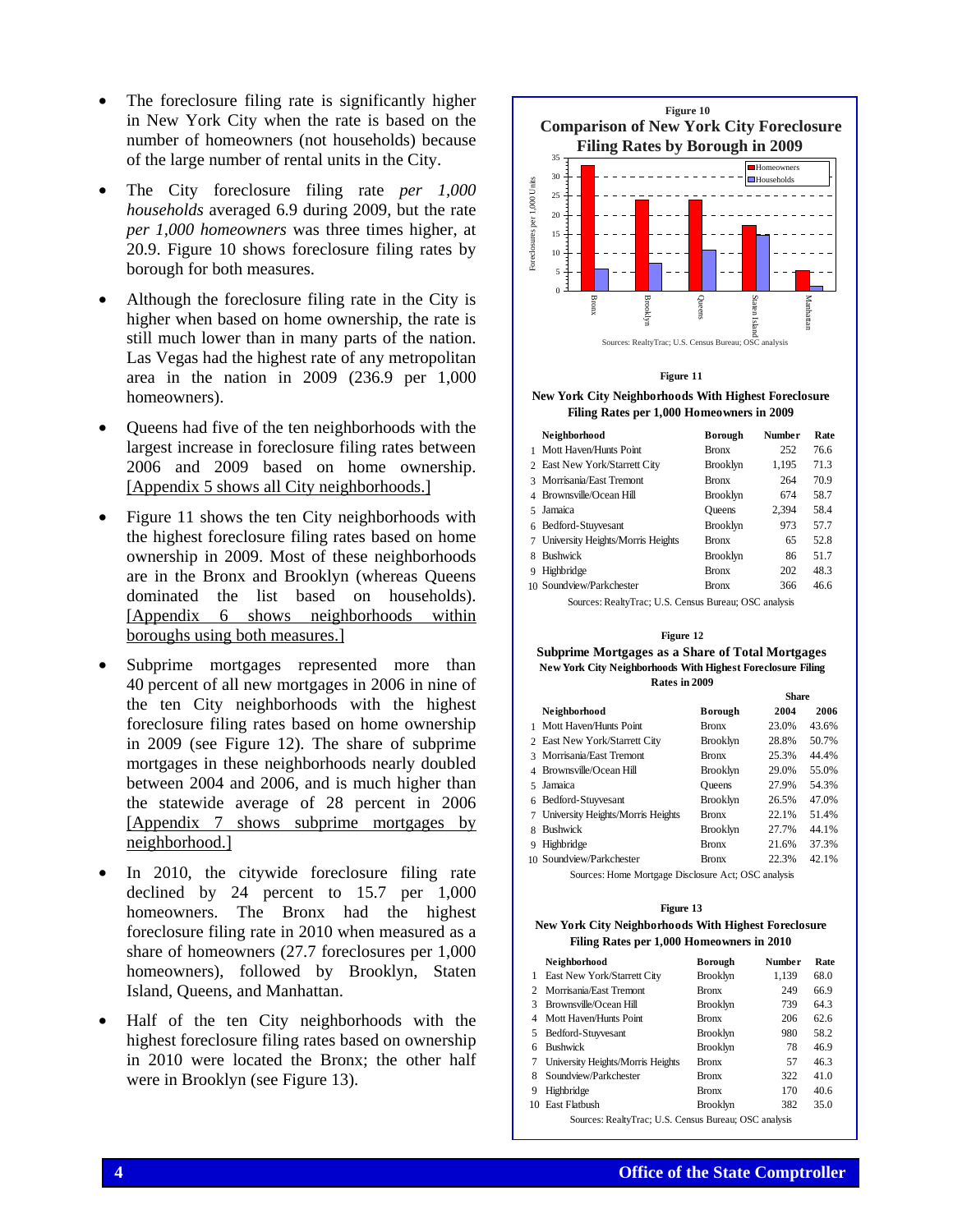- The foreclosure filing rate is significantly higher in New York City when the rate is based on the number of homeowners (not households) because of the large number of rental units in the City.
- The City foreclosure filing rate *per 1,000 households* averaged 6.9 during 2009, but the rate *per 1,000 homeowners* was three times higher, at 20.9. Figure 10 shows foreclosure filing rates by borough for both measures.
- Although the foreclosure filing rate in the City is higher when based on home ownership, the rate is still much lower than in many parts of the nation. Las Vegas had the highest rate of any metropolitan area in the nation in 2009 (236.9 per 1,000 homeowners).
- Queens had five of the ten neighborhoods with the largest increase in foreclosure filing rates between 2006 and 2009 based on home ownership. [Appendix 5 shows all City neighborhoods.]
- Figure 11 shows the ten City neighborhoods with the highest foreclosure filing rates based on home ownership in 2009. Most of these neighborhoods are in the Bronx and Brooklyn (whereas Queens dominated the list based on households). [Appendix 6 shows neighborhoods within boroughs using both measures.]
- Subprime mortgages represented more than 40 percent of all new mortgages in 2006 in nine of the ten City neighborhoods with the highest foreclosure filing rates based on home ownership in 2009 (see Figure 12). The share of subprime mortgages in these neighborhoods nearly doubled between 2004 and 2006, and is much higher than the statewide average of 28 percent in 2006 [Appendix 7 shows subprime mortgages by neighborhood.]
- In 2010, the citywide foreclosure filing rate declined by 24 percent to 15.7 per 1,000 homeowners. The Bronx had the highest foreclosure filing rate in 2010 when measured as a share of homeowners (27.7 foreclosures per 1,000 homeowners), followed by Brooklyn, Staten Island, Queens, and Manhattan.
- Half of the ten City neighborhoods with the highest foreclosure filing rates based on ownership in 2010 were located the Bronx; the other half were in Brooklyn (see Figure 13).



### **Figure 11**

### **New York City Neighborhoods With Highest Foreclosure Filing Rates per 1,000 Homeowners in 2009**

| Neighborhood                      | <b>Borough</b> | <b>Number</b> | Rate |
|-----------------------------------|----------------|---------------|------|
| Mott Haven/Hunts Point            | <b>Bronx</b>   | 252           | 76.6 |
| 2 East New York/Starrett City     | Brooklyn       | 1,195         | 713  |
| 3 Morrisania/East Tremont         | <b>Bronx</b>   | 264           | 70.9 |
| 4 Brownsville/Ocean Hill          | Brooklyn       | 674           | 58.7 |
| Jamaica<br>5.                     | <b>Oueens</b>  | 2,394         | 58.4 |
| Bedford-Stuyvesant<br>6           | Brooklyn       | 973           | 577  |
| University Heights/Morris Heights | <b>Bronx</b>   | 65            | 52.8 |
| <b>Bushwick</b>                   | Brooklyn       | 86            | 51.7 |
| Highbridge<br>9                   | <b>Bronx</b>   | 202           | 48.3 |
| 10 Soundview/Parkchester          | <b>Bronx</b>   | 366           | 46 6 |

Sources: RealtyTrac; U.S. Census Bureau; OSC analysis

### **Figure 12 Subprime Mortgages as a Share of Total Mortgages New York City Neighborhoods With Highest Foreclosure Filing Rates in 2009**

|   |                                                     |                 | <b>Share</b> |       |  |  |
|---|-----------------------------------------------------|-----------------|--------------|-------|--|--|
|   | Neighborhood                                        | Borough         | 2004         | 2006  |  |  |
|   | Mott Haven/Hunts Point                              | <b>Bronx</b>    | 23.0%        | 43.6% |  |  |
|   | 2 East New York/Starrett City                       | <b>Brooklyn</b> | 28.8%        | 50.7% |  |  |
| 3 | Morrisania/East Tremont                             | <b>Bronx</b>    | 25.3%        | 44.4% |  |  |
|   | Brownsville/Ocean Hill                              | <b>Brooklyn</b> | 29.0%        | 55.0% |  |  |
| 5 | Jamaica                                             | <b>Oueens</b>   | 27.9%        | 54.3% |  |  |
| 6 | Bedford-Stuyvesant                                  | <b>Brooklyn</b> | 26.5%        | 47.0% |  |  |
| 7 | University Heights/Morris Heights                   | <b>Bronx</b>    | 22.1%        | 51.4% |  |  |
| я | <b>Bushwick</b>                                     | <b>Brooklyn</b> | 27.7%        | 44.1% |  |  |
| 9 | Highbridge                                          | <b>Bronx</b>    | 21.6%        | 37.3% |  |  |
|   | 10 Soundview/Parkchester                            | <b>Bronx</b>    | 22.3%        | 42.1% |  |  |
|   | Sources: Home Mortgage Disclosure Act; OSC analysis |                 |              |       |  |  |

#### **Figure 13**

### **New York City Neighborhoods With Highest Foreclosure Filing Rates per 1,000 Homeowners in 2010**

|                             | Neighborhood                                          | Borough         | <b>Number</b> | Rate |  |  |
|-----------------------------|-------------------------------------------------------|-----------------|---------------|------|--|--|
| 1                           | East New York/Starrett City                           | <b>Brooklyn</b> | 1,139         | 68.0 |  |  |
| $\mathcal{D}_{\mathcal{L}}$ | Morrisania/Fast Tremont                               | <b>Bronx</b>    | 249           | 66.9 |  |  |
| 3                           | Brownsville/Ocean Hill                                | <b>Brooklyn</b> | 739           | 64.3 |  |  |
| 4                           | Mott Haven/Hunts Point                                | <b>Bronx</b>    | 206           | 62.6 |  |  |
| 5                           | Bedford-Stuyvesant                                    | <b>Brooklyn</b> | 980           | 58.2 |  |  |
| 6                           | <b>Bushwick</b>                                       | <b>Brooklyn</b> | 78            | 46.9 |  |  |
| 7                           | University Heights/Morris Heights                     | <b>Bronx</b>    | 57            | 46.3 |  |  |
| 8                           | Soundview/Parkchester                                 | <b>Bronx</b>    | 322           | 41.0 |  |  |
| 9                           | Highbridge                                            | <b>Bronx</b>    | 170           | 40.6 |  |  |
| 10                          | <b>East Flathush</b>                                  | <b>Brooklyn</b> | 382           | 35.0 |  |  |
|                             | Sources: RealtyTrac; U.S. Census Bureau; OSC analysis |                 |               |      |  |  |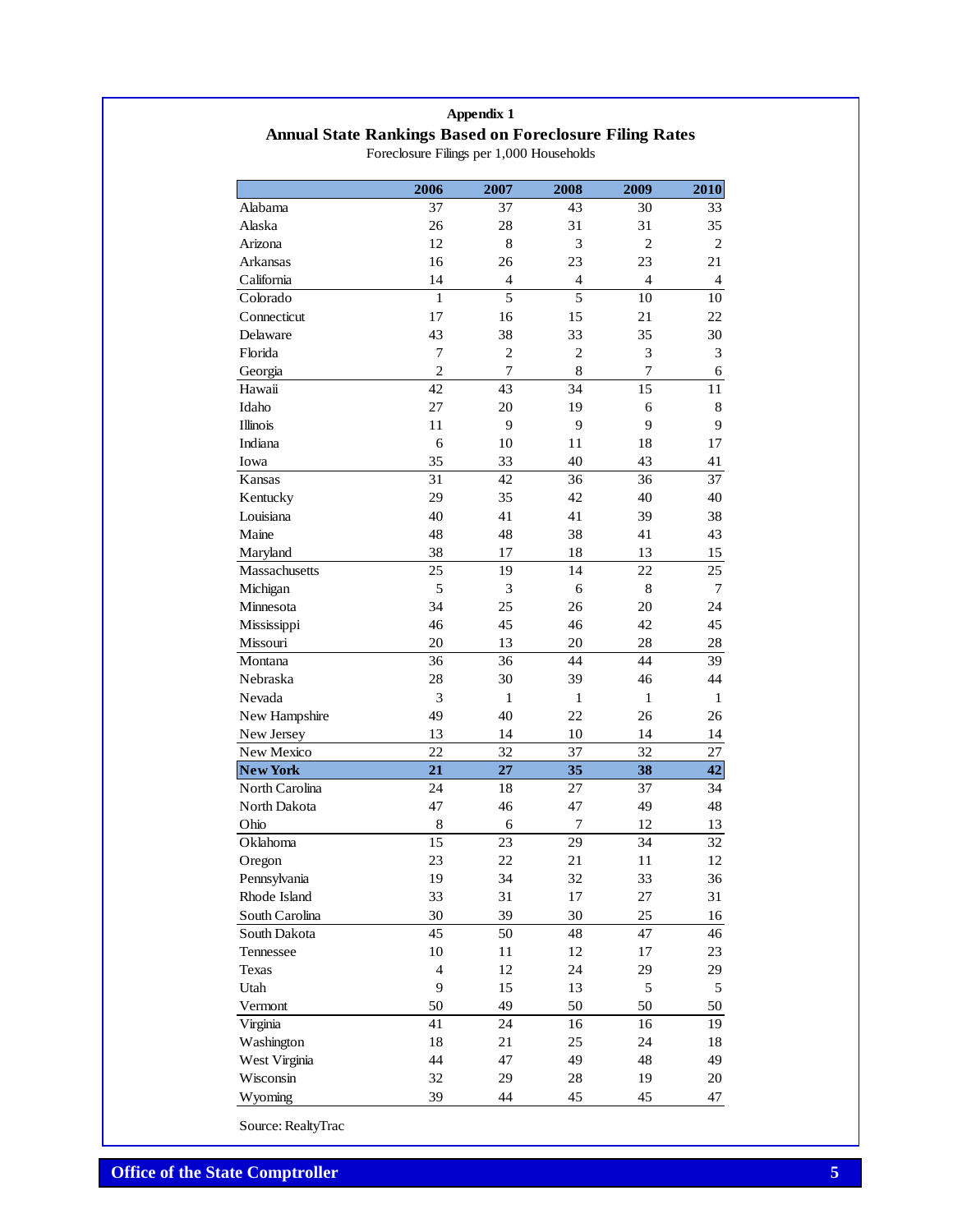# **Appendix 1 Annual State Rankings Based on Foreclosure Filing Rates**

|                 | 2006           | 2007            | 2008           | 2009            | 2010           |
|-----------------|----------------|-----------------|----------------|-----------------|----------------|
| Alabama         | 37             | 37              | 43             | 30              | 33             |
| Alaska          | 26             | 28              | 31             | 31              | 35             |
| Arizona         | 12             | 8               | 3              | $\overline{2}$  | $\overline{2}$ |
| Arkansas        | 16             | 26              | 23             | 23              | 21             |
| California      | 14             | $\overline{4}$  | $\overline{4}$ | $\overline{4}$  | $\overline{4}$ |
| Colorado        | 1              | 5               | 5              | 10              | 10             |
| Connecticut     | 17             | 16              | 15             | 21              | 22             |
| Delaware        | 43             | 38              | 33             | 35              | 30             |
| Florida         | 7              | $\mathbf{2}$    | $\overline{2}$ | 3               | 3              |
| Georgia         | $\overline{c}$ | 7               | 8              | $\overline{7}$  | 6              |
| Hawaii          | 42             | $\overline{43}$ | 34             | $\overline{15}$ | 11             |
| Idaho           | 27             | 20              | 19             | 6               | $\,$ 8 $\,$    |
| <b>Illinois</b> | 11             | 9               | 9              | 9               | 9              |
| Indiana         | 6              | 10              | 11             | 18              | 17             |
| Iowa            | 35             | 33              | 40             | 43              | 41             |
| Kansas          | 31             | 42              | 36             | 36              | 37             |
| Kentucky        | 29             | 35              | 42             | 40              | 40             |
| Louisiana       | 40             | 41              | 41             | 39              | 38             |
| Maine           | 48             | 48              | 38             | 41              | 43             |
| Maryland        | 38             | 17              | 18             | 13              | 15             |
| Massachusetts   | 25             | 19              | 14             | 22              | 25             |
| Michigan        | 5              | 3               | 6              | 8               | $\tau$         |
| Minnesota       | 34             | 25              | 26             | 20              | 24             |
| Mississippi     | 46             | 45              | 46             | 42              | 45             |
| Missouri        | 20             | 13              | 20             | 28              | 28             |
| Montana         | 36             | 36              | 44             | 44              | 39             |
| Nebraska        | 28             | 30              | 39             | 46              | 44             |
| Nevada          | 3              | $\mathbf{1}$    | $\mathbf{1}$   | $\mathbf{1}$    | $\mathbf{1}$   |
| New Hampshire   | 49             | 40              | 22             | 26              | 26             |
| New Jersey      | 13             | 14              | 10             | 14              | 14             |
| New Mexico      | 22             | 32              | 37             | 32              | 27             |
| <b>New York</b> | 21             | 27              | 35             | 38              | 42             |
| North Carolina  | 24             | 18              | 27             | 37              | 34             |
| North Dakota    | 47             | 46              | 47             | 49              | 48             |
| Ohio            | 8              | 6               | 7              | 12              | 13             |
| Oklahoma        | 15             | 23              | 29             | 34              | 32             |
| Oregon          | 23             | 22              | 21             | 11              | 12             |
| Pennsylvania    | 19             | 34              | 32             | 33              | 36             |
| Rhode Island    | 33             | 31              | 17             | 27              | 31             |
| South Carolina  | 30             | 39              | 30             | 25              | 16             |
| South Dakota    | 45             | 50              | 48             | 47              | 46             |
| Tennessee       | 10             | 11              | 12             | 17              | 23             |
| Texas           | $\overline{4}$ | 12              | 24             | 29              | 29             |
| Utah            | 9              | 15              | 13             | 5               | 5              |
| Vermont         | 50             | 49              | 50             | 50              | 50             |
| Virginia        | 41             | 24              | 16             | 16              | 19             |
| Washington      | 18             | 21              | 25             | 24              | 18             |
| West Virginia   | 44             | 47              | 49             | 48              | 49             |
| Wisconsin       | 32             | 29              | 28             | 19              | 20             |
| Wyoming         | 39             | 44              | 45             | 45              | 47             |
|                 |                |                 |                |                 |                |

Foreclosure Filings per 1,000 Households

Source: RealtyTrac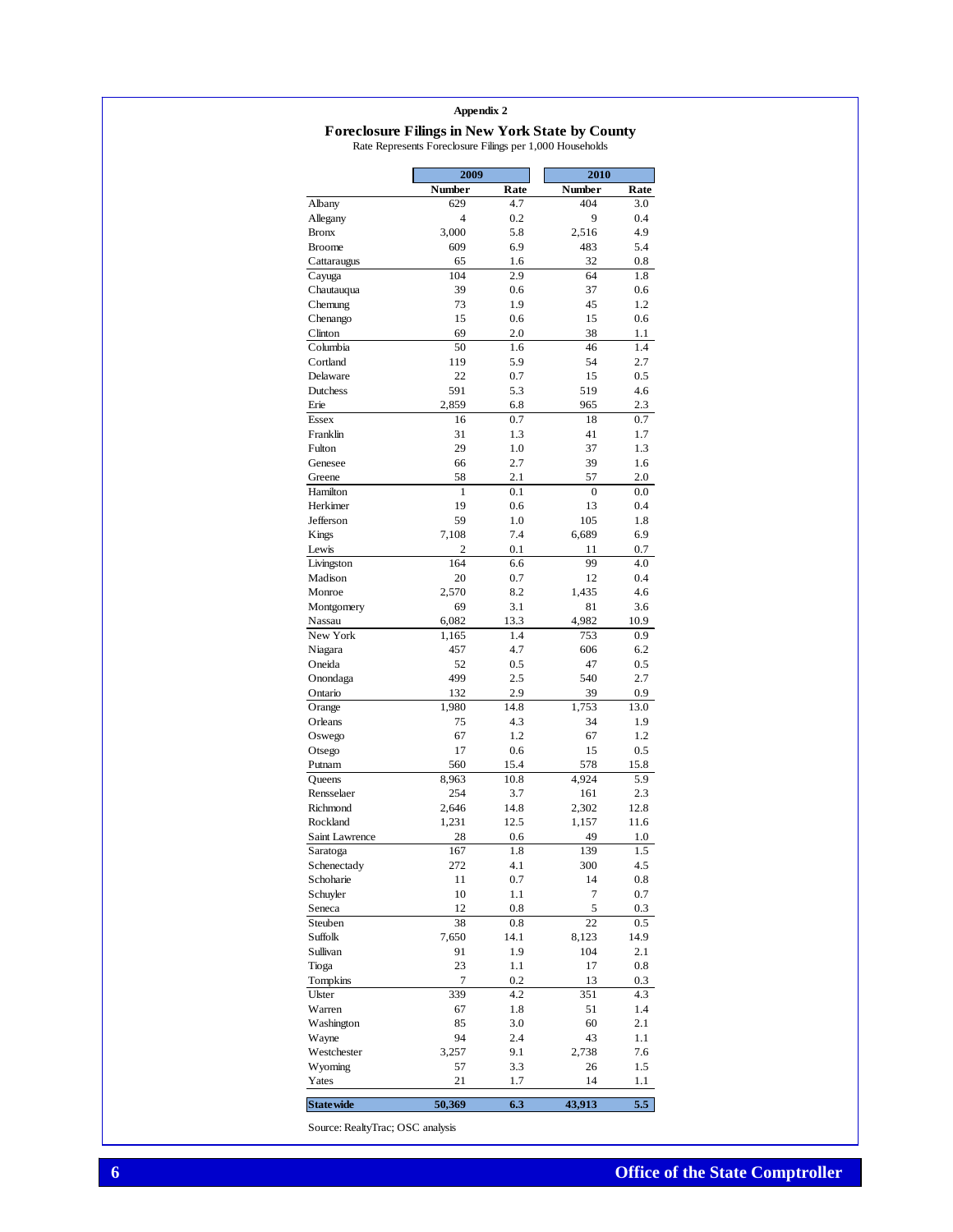### **Foreclosure Filings in New York State by County** Rate Represents Foreclosure Filings per 1,000 Households

|                      | 2009           |             | 2010           |             |  |
|----------------------|----------------|-------------|----------------|-------------|--|
|                      | Number         | Rate        | <b>Number</b>  | Rate        |  |
| Albany               | 629            | 4.7         | 404            | 3.0         |  |
| Allegany             | $\overline{4}$ | 0.2         | 9              | 0.4         |  |
| <b>Bronx</b>         | 3,000          | 5.8         | 2,516          | 4.9         |  |
| <b>Broome</b>        | 609            | 6.9         | 483            | 5.4         |  |
| Cattaraugus          | 65             | 1.6         | 32             | 0.8         |  |
| Cayuga               | 104            | 2.9         | 64             | 1.8         |  |
| Chautauqua           | 39             | 0.6         | 37             | 0.6         |  |
| Chemung              | 73             | 1.9         | 45             | 1.2         |  |
| Chenango             | 15             | 0.6         | 15             | 0.6         |  |
| Clinton              | 69             | 2.0         | 38             | 1.1         |  |
| Columbia             | 50             | 1.6         | 46             | 1.4         |  |
| Cortland             | 119<br>22      | 5.9<br>0.7  | 54<br>15       | 2.7<br>0.5  |  |
| Delaware<br>Dutchess | 591            | 5.3         | 519            | 4.6         |  |
| Erie                 | 2,859          | 6.8         | 965            | 2.3         |  |
| <b>Essex</b>         | 16             | 0.7         | 18             | 0.7         |  |
| Franklin             | 31             | 1.3         | 41             | 1.7         |  |
| Fulton               | 29             | 1.0         | 37             | 1.3         |  |
| Genesee              | 66             | 2.7         | 39             | 1.6         |  |
| Greene               | 58             | 2.1         | 57             | 2.0         |  |
| Hamilton             | 1              | 0.1         | $\overline{0}$ | 0.0         |  |
| Herkimer             | 19             | 0.6         | 13             | 0.4         |  |
| Jefferson            | 59             | 1.0         | 105            | 1.8         |  |
| Kings                | 7,108          | 7.4         | 6,689          | 6.9         |  |
| Lewis                | 2              | 0.1         | 11             | 0.7         |  |
| Livingston           | 164            | 6.6         | 99             | 4.0         |  |
| Madison              | 20             | 0.7         | 12             | 0.4         |  |
| Monroe               | 2,570          | 8.2         | 1.435          | 4.6         |  |
| Montgomery           | 69             | 3.1         | 81             | 3.6         |  |
| Nassau               | 6,082          | 13.3        | 4,982          | 10.9        |  |
| New York             | 1,165          | 1.4         | 753            | 0.9         |  |
| Niagara              | 457            | 4.7         | 606            | 6.2         |  |
| Oneida               | 52             | 0.5         | 47             | 0.5         |  |
| Onondaga             | 499            | 2.5         | 540            | 2.7         |  |
| Ontario              | 132            | 2.9         | 39             | 0.9         |  |
| Orange<br>Orleans    | 1,980<br>75    | 14.8<br>4.3 | 1,753<br>34    | 13.0<br>1.9 |  |
| Oswego               | 67             | 1.2         | 67             | 1.2         |  |
| Otsego               | 17             | 0.6         | 15             | 0.5         |  |
| Putnam               | 560            | 15.4        | 578            | 15.8        |  |
| Queens               | 8,963          | 10.8        | 4.924          | 5.9         |  |
| Rensselaer           | 254            | 3.7         | 161            | 2.3         |  |
| Richmond             | 2,646          | 14.8        | 2,302          | 12.8        |  |
| Rockland             | 1,231          | 12.5        | 1,157          | 11.6        |  |
| Saint Lawrence       | 28             | 0.6         | 49             | 1.0         |  |
| Saratoga             | 167            | 1.8         | 139            | 1.5         |  |
| Schenectady          | 272            | 4.1         | 300            | 4.5         |  |
| Schoharie            | 11             | 0.7         | 14             | 0.8         |  |
| Schuyler             | 10             | $1.1\,$     | 7              | 0.7         |  |
| Seneca               | 12             | 0.8         | 5              | 0.3         |  |
| Steuben              | 38             | $_{0.8}$    | 22             | 0.5         |  |
| Suffolk              | 7,650          | 14.1        | 8,123          | 14.9        |  |
| Sullivan             | 91             | 1.9         | 104            | 2.1         |  |
| Tioga                | 23             | 1.1         | 17             | 0.8         |  |
| Tompkins             | 7              | 0.2         | 13             | 0.3         |  |
| Ulster               | 339            | 4.2         | 351            | 4.3         |  |
| Warren               | 67             | 1.8         | 51             | 1.4         |  |
| Washington           | 85             | 3.0         | 60             | 2.1         |  |
| Wayne                | 94             | 2.4         | 43<br>2,738    | 1.1         |  |
| Westchester          | 3,257<br>57    | 9.1<br>3.3  | 26             | 7.6<br>1.5  |  |
| Wyoming<br>Yates     | 21             | 1.7         | 14             | 1.1         |  |
|                      |                |             |                |             |  |
| <b>State wide</b>    | 50,369         | 6.3         | 43,913         | 5.5         |  |

Source: RealtyTrac; OSC analysis

 $\overline{\phantom{a}}$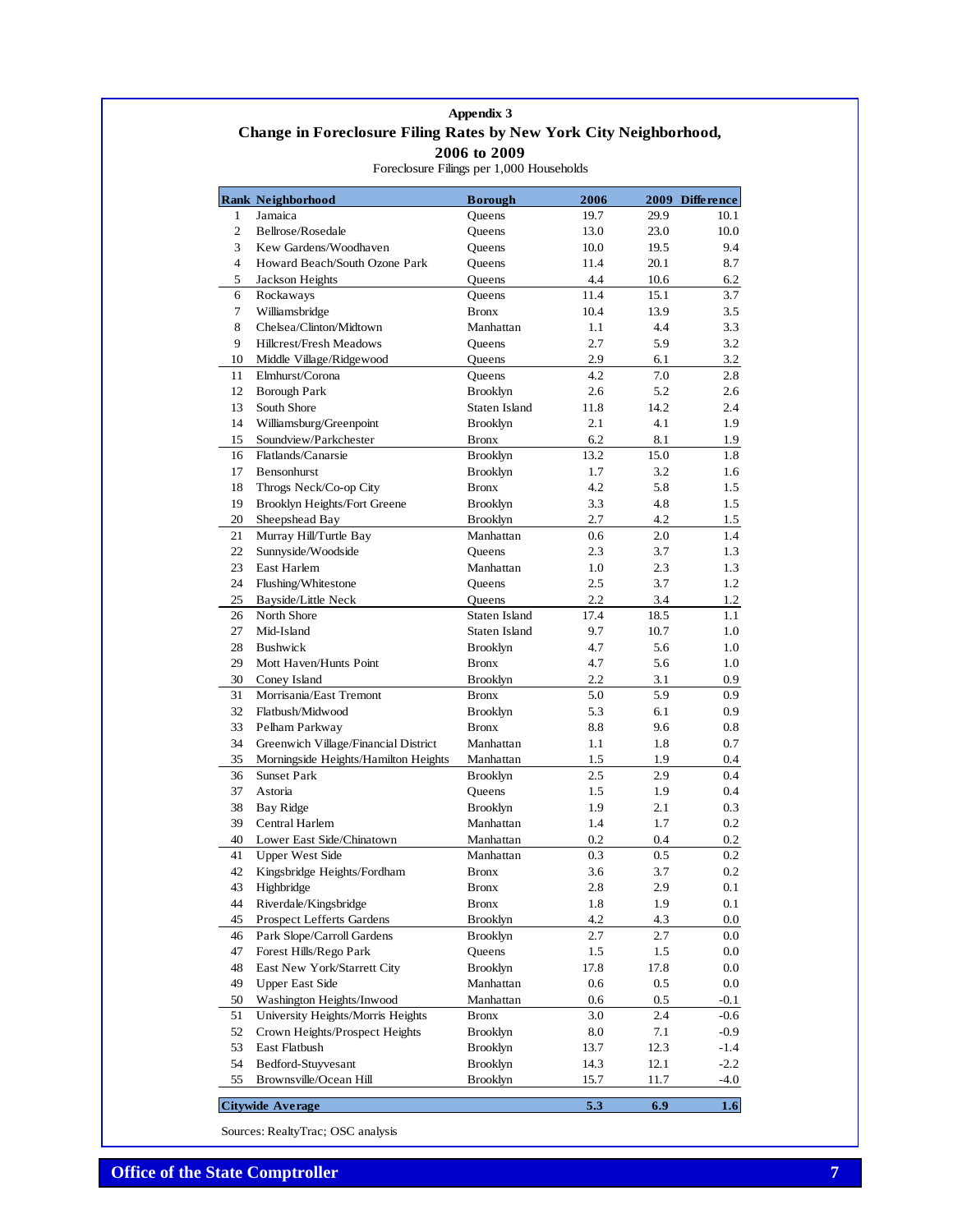# **Appendix 3 Change in Foreclosure Filing Rates by New York City Neighborhood, 2006 to 2009**

| Jamaica<br>Queens<br>19.7<br>29.9<br>10.1<br>1<br>2<br>Bellrose/Rosedale<br>Queens<br>13.0<br>23.0<br>10.0<br>3<br>Kew Gardens/Woodhaven<br>10.0<br>19.5<br>9.4<br>Queens<br>4<br>Howard Beach/South Ozone Park<br>11.4<br>20.1<br>8.7<br>Queens<br>5<br>Jackson Heights<br>4.4<br>10.6<br>6.2<br><b>Oueens</b><br>6<br>15.1<br>3.7<br>Rockaways<br>11.4<br>Queens<br>7<br>Williamsbridge<br><b>Bronx</b><br>10.4<br>13.9<br>3.5<br>Chelsea/Clinton/Midtown<br>8<br>Manhattan<br>1.1<br>4.4<br>3.3<br>2.7<br>9<br>Hillcrest/Fresh Meadows<br>5.9<br>3.2<br>Queens<br>2.9<br>10<br>Middle Village/Ridgewood<br>Queens<br>6.1<br>3.2<br>Elmhurst/Corona<br>Queens<br>4.2<br>7.0<br>2.8<br>11<br>12<br><b>Borough Park</b><br><b>Brooklyn</b><br>2.6<br>5.2<br>2.6<br>13<br>South Shore<br>Staten Island<br>11.8<br>14.2<br>2.4<br>Williamsburg/Greenpoint<br>14<br><b>Brooklyn</b><br>2.1<br>4.1<br>1.9<br>6.2<br>8.1<br>Soundview/Parkchester<br><b>Bronx</b><br>1.9<br>15<br>16<br>Flatlands/Canarsie<br><b>Brooklyn</b><br>13.2<br>15.0<br>1.8<br>17<br>Bensonhurst<br><b>Brooklyn</b><br>1.7<br>3.2<br>1.6<br>18<br>Throgs Neck/Co-op City<br><b>Bronx</b><br>4.2<br>5.8<br>1.5<br>3.3<br>1.5<br>19<br><b>Brooklyn Heights/Fort Greene</b><br><b>Brooklyn</b><br>4.8<br>20<br>Sheepshead Bay<br><b>Brooklyn</b><br>2.7<br>4.2<br>1.5<br>Murray Hill/Turtle Bay<br>Manhattan<br>$1.4\phantom{0}$<br>21<br>0.6<br>2.0<br>22<br>Sunnyside/Woodside<br>2.3<br>3.7<br>1.3<br>Oueens<br>23<br>East Harlem<br>Manhattan<br>1.0<br>2.3<br>1.3<br>24<br>2.5<br>3.7<br>1.2<br>Flushing/Whitestone<br>Queens<br>Bayside/Little Neck<br>2.2<br>25<br>Queens<br>3.4<br>1.2<br>North Shore<br>17.4<br>1.1<br>26<br>Staten Island<br>18.5<br>27<br>9.7<br>Mid-Island<br>Staten Island<br>10.7<br>1.0<br>28<br>4.7<br><b>Bushwick</b><br><b>Brooklyn</b><br>5.6<br>$1.0\,$<br>29<br><b>Bronx</b><br>5.6<br>Mott Haven/Hunts Point<br>4.7<br>$1.0\,$<br>30<br><b>Brooklyn</b><br>2.2<br>3.1<br>Coney Island<br>0.9<br>Morrisania/East Tremont<br>5.0<br>5.9<br>31<br><b>Bronx</b><br>0.9<br>32<br>Flatbush/Midwood<br>5.3<br>6.1<br>0.9<br><b>Brooklyn</b><br>33<br>Pelham Parkway<br><b>Bronx</b><br>8.8<br>0.8<br>9.6<br>0.7<br>34<br>Greenwich Village/Financial District<br>1.1<br>1.8<br>Manhattan<br>Morningside Heights/Hamilton Heights<br>35<br>Manhattan<br>1.5<br>1.9<br>0.4<br><b>Sunset Park</b><br>36<br><b>Brooklyn</b><br>2.5<br>2.9<br>0.4<br>37<br>Astoria<br>Queens<br>1.5<br>1.9<br>0.4<br>38<br><b>Bay Ridge</b><br><b>Brooklyn</b><br>1.9<br>2.1<br>0.3<br>39<br>Central Harlem<br>Manhattan<br>1.4<br>1.7<br>0.2<br>40<br>Lower East Side/Chinatown<br>0.2<br>Manhattan<br>0.4<br>0.2<br>0.2<br>41<br><b>Upper West Side</b><br>0.3<br>0.5<br>Manhattan<br>42<br>Kingsbridge Heights/Fordham<br>3.6<br>3.7<br>0.2<br><b>Bronx</b><br>43<br>2.9<br>0.1<br><b>Highbridge</b><br>Bronx<br>2.8<br>44<br>Riverdale/Kingsbridge<br>1.9<br>0.1<br><b>Bronx</b><br>1.8<br><b>Prospect Lefferts Gardens</b><br>45<br><b>Brooklyn</b><br>4.2<br>4.3<br>$0.0\,$<br>Park Slope/Carroll Gardens<br><b>Brooklyn</b><br>46<br>2.7<br>2.7<br>$0.0\,$<br>47<br>Forest Hills/Rego Park<br>Queens<br>1.5<br>1.5<br>$0.0\,$<br>East New York/Starrett City<br>48<br><b>Brooklyn</b><br>17.8<br>17.8<br>$0.0\,$<br>49<br><b>Upper East Side</b><br>Manhattan<br>0.6<br>0.5<br>0.0<br>Washington Heights/Inwood<br>0.6<br>50<br>Manhattan<br>0.5<br>-0.1<br>51<br>University Heights/Morris Heights<br>3.0<br>2.4<br>$-0.6$<br><b>Bronx</b><br>52<br>Crown Heights/Prospect Heights<br><b>Brooklyn</b><br>7.1<br>$-0.9$<br>8.0<br>East Flatbush<br><b>Brooklyn</b><br>12.3<br>$-1.4$<br>53<br>13.7<br>54<br>Bedford-Stuyvesant<br><b>Brooklyn</b><br>14.3<br>12.1<br>$-2.2$<br>55<br>Brownsville/Ocean Hill<br><b>Brooklyn</b><br>15.7<br>11.7<br>-4.0<br>5.3<br>6.9<br>1.6<br><b>Citywide Average</b> | <b>Rank Neighborhood</b> | <b>Borough</b> | 2006 | 2009 Difference |
|------------------------------------------------------------------------------------------------------------------------------------------------------------------------------------------------------------------------------------------------------------------------------------------------------------------------------------------------------------------------------------------------------------------------------------------------------------------------------------------------------------------------------------------------------------------------------------------------------------------------------------------------------------------------------------------------------------------------------------------------------------------------------------------------------------------------------------------------------------------------------------------------------------------------------------------------------------------------------------------------------------------------------------------------------------------------------------------------------------------------------------------------------------------------------------------------------------------------------------------------------------------------------------------------------------------------------------------------------------------------------------------------------------------------------------------------------------------------------------------------------------------------------------------------------------------------------------------------------------------------------------------------------------------------------------------------------------------------------------------------------------------------------------------------------------------------------------------------------------------------------------------------------------------------------------------------------------------------------------------------------------------------------------------------------------------------------------------------------------------------------------------------------------------------------------------------------------------------------------------------------------------------------------------------------------------------------------------------------------------------------------------------------------------------------------------------------------------------------------------------------------------------------------------------------------------------------------------------------------------------------------------------------------------------------------------------------------------------------------------------------------------------------------------------------------------------------------------------------------------------------------------------------------------------------------------------------------------------------------------------------------------------------------------------------------------------------------------------------------------------------------------------------------------------------------------------------------------------------------------------------------------------------------------------------------------------------------------------------------------------------------------------------------------------------------------------------------------------------------------------------------------------------------------------------------------------------------------------------------------------------------------------------------------------------------------------------------------------------------------------------------------------------------------------------------------------------------------------------------------------------------------|--------------------------|----------------|------|-----------------|
|                                                                                                                                                                                                                                                                                                                                                                                                                                                                                                                                                                                                                                                                                                                                                                                                                                                                                                                                                                                                                                                                                                                                                                                                                                                                                                                                                                                                                                                                                                                                                                                                                                                                                                                                                                                                                                                                                                                                                                                                                                                                                                                                                                                                                                                                                                                                                                                                                                                                                                                                                                                                                                                                                                                                                                                                                                                                                                                                                                                                                                                                                                                                                                                                                                                                                                                                                                                                                                                                                                                                                                                                                                                                                                                                                                                                                                                                                          |                          |                |      |                 |
|                                                                                                                                                                                                                                                                                                                                                                                                                                                                                                                                                                                                                                                                                                                                                                                                                                                                                                                                                                                                                                                                                                                                                                                                                                                                                                                                                                                                                                                                                                                                                                                                                                                                                                                                                                                                                                                                                                                                                                                                                                                                                                                                                                                                                                                                                                                                                                                                                                                                                                                                                                                                                                                                                                                                                                                                                                                                                                                                                                                                                                                                                                                                                                                                                                                                                                                                                                                                                                                                                                                                                                                                                                                                                                                                                                                                                                                                                          |                          |                |      |                 |
|                                                                                                                                                                                                                                                                                                                                                                                                                                                                                                                                                                                                                                                                                                                                                                                                                                                                                                                                                                                                                                                                                                                                                                                                                                                                                                                                                                                                                                                                                                                                                                                                                                                                                                                                                                                                                                                                                                                                                                                                                                                                                                                                                                                                                                                                                                                                                                                                                                                                                                                                                                                                                                                                                                                                                                                                                                                                                                                                                                                                                                                                                                                                                                                                                                                                                                                                                                                                                                                                                                                                                                                                                                                                                                                                                                                                                                                                                          |                          |                |      |                 |
|                                                                                                                                                                                                                                                                                                                                                                                                                                                                                                                                                                                                                                                                                                                                                                                                                                                                                                                                                                                                                                                                                                                                                                                                                                                                                                                                                                                                                                                                                                                                                                                                                                                                                                                                                                                                                                                                                                                                                                                                                                                                                                                                                                                                                                                                                                                                                                                                                                                                                                                                                                                                                                                                                                                                                                                                                                                                                                                                                                                                                                                                                                                                                                                                                                                                                                                                                                                                                                                                                                                                                                                                                                                                                                                                                                                                                                                                                          |                          |                |      |                 |
|                                                                                                                                                                                                                                                                                                                                                                                                                                                                                                                                                                                                                                                                                                                                                                                                                                                                                                                                                                                                                                                                                                                                                                                                                                                                                                                                                                                                                                                                                                                                                                                                                                                                                                                                                                                                                                                                                                                                                                                                                                                                                                                                                                                                                                                                                                                                                                                                                                                                                                                                                                                                                                                                                                                                                                                                                                                                                                                                                                                                                                                                                                                                                                                                                                                                                                                                                                                                                                                                                                                                                                                                                                                                                                                                                                                                                                                                                          |                          |                |      |                 |
|                                                                                                                                                                                                                                                                                                                                                                                                                                                                                                                                                                                                                                                                                                                                                                                                                                                                                                                                                                                                                                                                                                                                                                                                                                                                                                                                                                                                                                                                                                                                                                                                                                                                                                                                                                                                                                                                                                                                                                                                                                                                                                                                                                                                                                                                                                                                                                                                                                                                                                                                                                                                                                                                                                                                                                                                                                                                                                                                                                                                                                                                                                                                                                                                                                                                                                                                                                                                                                                                                                                                                                                                                                                                                                                                                                                                                                                                                          |                          |                |      |                 |
|                                                                                                                                                                                                                                                                                                                                                                                                                                                                                                                                                                                                                                                                                                                                                                                                                                                                                                                                                                                                                                                                                                                                                                                                                                                                                                                                                                                                                                                                                                                                                                                                                                                                                                                                                                                                                                                                                                                                                                                                                                                                                                                                                                                                                                                                                                                                                                                                                                                                                                                                                                                                                                                                                                                                                                                                                                                                                                                                                                                                                                                                                                                                                                                                                                                                                                                                                                                                                                                                                                                                                                                                                                                                                                                                                                                                                                                                                          |                          |                |      |                 |
|                                                                                                                                                                                                                                                                                                                                                                                                                                                                                                                                                                                                                                                                                                                                                                                                                                                                                                                                                                                                                                                                                                                                                                                                                                                                                                                                                                                                                                                                                                                                                                                                                                                                                                                                                                                                                                                                                                                                                                                                                                                                                                                                                                                                                                                                                                                                                                                                                                                                                                                                                                                                                                                                                                                                                                                                                                                                                                                                                                                                                                                                                                                                                                                                                                                                                                                                                                                                                                                                                                                                                                                                                                                                                                                                                                                                                                                                                          |                          |                |      |                 |
|                                                                                                                                                                                                                                                                                                                                                                                                                                                                                                                                                                                                                                                                                                                                                                                                                                                                                                                                                                                                                                                                                                                                                                                                                                                                                                                                                                                                                                                                                                                                                                                                                                                                                                                                                                                                                                                                                                                                                                                                                                                                                                                                                                                                                                                                                                                                                                                                                                                                                                                                                                                                                                                                                                                                                                                                                                                                                                                                                                                                                                                                                                                                                                                                                                                                                                                                                                                                                                                                                                                                                                                                                                                                                                                                                                                                                                                                                          |                          |                |      |                 |
|                                                                                                                                                                                                                                                                                                                                                                                                                                                                                                                                                                                                                                                                                                                                                                                                                                                                                                                                                                                                                                                                                                                                                                                                                                                                                                                                                                                                                                                                                                                                                                                                                                                                                                                                                                                                                                                                                                                                                                                                                                                                                                                                                                                                                                                                                                                                                                                                                                                                                                                                                                                                                                                                                                                                                                                                                                                                                                                                                                                                                                                                                                                                                                                                                                                                                                                                                                                                                                                                                                                                                                                                                                                                                                                                                                                                                                                                                          |                          |                |      |                 |
|                                                                                                                                                                                                                                                                                                                                                                                                                                                                                                                                                                                                                                                                                                                                                                                                                                                                                                                                                                                                                                                                                                                                                                                                                                                                                                                                                                                                                                                                                                                                                                                                                                                                                                                                                                                                                                                                                                                                                                                                                                                                                                                                                                                                                                                                                                                                                                                                                                                                                                                                                                                                                                                                                                                                                                                                                                                                                                                                                                                                                                                                                                                                                                                                                                                                                                                                                                                                                                                                                                                                                                                                                                                                                                                                                                                                                                                                                          |                          |                |      |                 |
|                                                                                                                                                                                                                                                                                                                                                                                                                                                                                                                                                                                                                                                                                                                                                                                                                                                                                                                                                                                                                                                                                                                                                                                                                                                                                                                                                                                                                                                                                                                                                                                                                                                                                                                                                                                                                                                                                                                                                                                                                                                                                                                                                                                                                                                                                                                                                                                                                                                                                                                                                                                                                                                                                                                                                                                                                                                                                                                                                                                                                                                                                                                                                                                                                                                                                                                                                                                                                                                                                                                                                                                                                                                                                                                                                                                                                                                                                          |                          |                |      |                 |
|                                                                                                                                                                                                                                                                                                                                                                                                                                                                                                                                                                                                                                                                                                                                                                                                                                                                                                                                                                                                                                                                                                                                                                                                                                                                                                                                                                                                                                                                                                                                                                                                                                                                                                                                                                                                                                                                                                                                                                                                                                                                                                                                                                                                                                                                                                                                                                                                                                                                                                                                                                                                                                                                                                                                                                                                                                                                                                                                                                                                                                                                                                                                                                                                                                                                                                                                                                                                                                                                                                                                                                                                                                                                                                                                                                                                                                                                                          |                          |                |      |                 |
|                                                                                                                                                                                                                                                                                                                                                                                                                                                                                                                                                                                                                                                                                                                                                                                                                                                                                                                                                                                                                                                                                                                                                                                                                                                                                                                                                                                                                                                                                                                                                                                                                                                                                                                                                                                                                                                                                                                                                                                                                                                                                                                                                                                                                                                                                                                                                                                                                                                                                                                                                                                                                                                                                                                                                                                                                                                                                                                                                                                                                                                                                                                                                                                                                                                                                                                                                                                                                                                                                                                                                                                                                                                                                                                                                                                                                                                                                          |                          |                |      |                 |
|                                                                                                                                                                                                                                                                                                                                                                                                                                                                                                                                                                                                                                                                                                                                                                                                                                                                                                                                                                                                                                                                                                                                                                                                                                                                                                                                                                                                                                                                                                                                                                                                                                                                                                                                                                                                                                                                                                                                                                                                                                                                                                                                                                                                                                                                                                                                                                                                                                                                                                                                                                                                                                                                                                                                                                                                                                                                                                                                                                                                                                                                                                                                                                                                                                                                                                                                                                                                                                                                                                                                                                                                                                                                                                                                                                                                                                                                                          |                          |                |      |                 |
|                                                                                                                                                                                                                                                                                                                                                                                                                                                                                                                                                                                                                                                                                                                                                                                                                                                                                                                                                                                                                                                                                                                                                                                                                                                                                                                                                                                                                                                                                                                                                                                                                                                                                                                                                                                                                                                                                                                                                                                                                                                                                                                                                                                                                                                                                                                                                                                                                                                                                                                                                                                                                                                                                                                                                                                                                                                                                                                                                                                                                                                                                                                                                                                                                                                                                                                                                                                                                                                                                                                                                                                                                                                                                                                                                                                                                                                                                          |                          |                |      |                 |
|                                                                                                                                                                                                                                                                                                                                                                                                                                                                                                                                                                                                                                                                                                                                                                                                                                                                                                                                                                                                                                                                                                                                                                                                                                                                                                                                                                                                                                                                                                                                                                                                                                                                                                                                                                                                                                                                                                                                                                                                                                                                                                                                                                                                                                                                                                                                                                                                                                                                                                                                                                                                                                                                                                                                                                                                                                                                                                                                                                                                                                                                                                                                                                                                                                                                                                                                                                                                                                                                                                                                                                                                                                                                                                                                                                                                                                                                                          |                          |                |      |                 |
|                                                                                                                                                                                                                                                                                                                                                                                                                                                                                                                                                                                                                                                                                                                                                                                                                                                                                                                                                                                                                                                                                                                                                                                                                                                                                                                                                                                                                                                                                                                                                                                                                                                                                                                                                                                                                                                                                                                                                                                                                                                                                                                                                                                                                                                                                                                                                                                                                                                                                                                                                                                                                                                                                                                                                                                                                                                                                                                                                                                                                                                                                                                                                                                                                                                                                                                                                                                                                                                                                                                                                                                                                                                                                                                                                                                                                                                                                          |                          |                |      |                 |
|                                                                                                                                                                                                                                                                                                                                                                                                                                                                                                                                                                                                                                                                                                                                                                                                                                                                                                                                                                                                                                                                                                                                                                                                                                                                                                                                                                                                                                                                                                                                                                                                                                                                                                                                                                                                                                                                                                                                                                                                                                                                                                                                                                                                                                                                                                                                                                                                                                                                                                                                                                                                                                                                                                                                                                                                                                                                                                                                                                                                                                                                                                                                                                                                                                                                                                                                                                                                                                                                                                                                                                                                                                                                                                                                                                                                                                                                                          |                          |                |      |                 |
|                                                                                                                                                                                                                                                                                                                                                                                                                                                                                                                                                                                                                                                                                                                                                                                                                                                                                                                                                                                                                                                                                                                                                                                                                                                                                                                                                                                                                                                                                                                                                                                                                                                                                                                                                                                                                                                                                                                                                                                                                                                                                                                                                                                                                                                                                                                                                                                                                                                                                                                                                                                                                                                                                                                                                                                                                                                                                                                                                                                                                                                                                                                                                                                                                                                                                                                                                                                                                                                                                                                                                                                                                                                                                                                                                                                                                                                                                          |                          |                |      |                 |
|                                                                                                                                                                                                                                                                                                                                                                                                                                                                                                                                                                                                                                                                                                                                                                                                                                                                                                                                                                                                                                                                                                                                                                                                                                                                                                                                                                                                                                                                                                                                                                                                                                                                                                                                                                                                                                                                                                                                                                                                                                                                                                                                                                                                                                                                                                                                                                                                                                                                                                                                                                                                                                                                                                                                                                                                                                                                                                                                                                                                                                                                                                                                                                                                                                                                                                                                                                                                                                                                                                                                                                                                                                                                                                                                                                                                                                                                                          |                          |                |      |                 |
|                                                                                                                                                                                                                                                                                                                                                                                                                                                                                                                                                                                                                                                                                                                                                                                                                                                                                                                                                                                                                                                                                                                                                                                                                                                                                                                                                                                                                                                                                                                                                                                                                                                                                                                                                                                                                                                                                                                                                                                                                                                                                                                                                                                                                                                                                                                                                                                                                                                                                                                                                                                                                                                                                                                                                                                                                                                                                                                                                                                                                                                                                                                                                                                                                                                                                                                                                                                                                                                                                                                                                                                                                                                                                                                                                                                                                                                                                          |                          |                |      |                 |
|                                                                                                                                                                                                                                                                                                                                                                                                                                                                                                                                                                                                                                                                                                                                                                                                                                                                                                                                                                                                                                                                                                                                                                                                                                                                                                                                                                                                                                                                                                                                                                                                                                                                                                                                                                                                                                                                                                                                                                                                                                                                                                                                                                                                                                                                                                                                                                                                                                                                                                                                                                                                                                                                                                                                                                                                                                                                                                                                                                                                                                                                                                                                                                                                                                                                                                                                                                                                                                                                                                                                                                                                                                                                                                                                                                                                                                                                                          |                          |                |      |                 |
|                                                                                                                                                                                                                                                                                                                                                                                                                                                                                                                                                                                                                                                                                                                                                                                                                                                                                                                                                                                                                                                                                                                                                                                                                                                                                                                                                                                                                                                                                                                                                                                                                                                                                                                                                                                                                                                                                                                                                                                                                                                                                                                                                                                                                                                                                                                                                                                                                                                                                                                                                                                                                                                                                                                                                                                                                                                                                                                                                                                                                                                                                                                                                                                                                                                                                                                                                                                                                                                                                                                                                                                                                                                                                                                                                                                                                                                                                          |                          |                |      |                 |
|                                                                                                                                                                                                                                                                                                                                                                                                                                                                                                                                                                                                                                                                                                                                                                                                                                                                                                                                                                                                                                                                                                                                                                                                                                                                                                                                                                                                                                                                                                                                                                                                                                                                                                                                                                                                                                                                                                                                                                                                                                                                                                                                                                                                                                                                                                                                                                                                                                                                                                                                                                                                                                                                                                                                                                                                                                                                                                                                                                                                                                                                                                                                                                                                                                                                                                                                                                                                                                                                                                                                                                                                                                                                                                                                                                                                                                                                                          |                          |                |      |                 |
|                                                                                                                                                                                                                                                                                                                                                                                                                                                                                                                                                                                                                                                                                                                                                                                                                                                                                                                                                                                                                                                                                                                                                                                                                                                                                                                                                                                                                                                                                                                                                                                                                                                                                                                                                                                                                                                                                                                                                                                                                                                                                                                                                                                                                                                                                                                                                                                                                                                                                                                                                                                                                                                                                                                                                                                                                                                                                                                                                                                                                                                                                                                                                                                                                                                                                                                                                                                                                                                                                                                                                                                                                                                                                                                                                                                                                                                                                          |                          |                |      |                 |
|                                                                                                                                                                                                                                                                                                                                                                                                                                                                                                                                                                                                                                                                                                                                                                                                                                                                                                                                                                                                                                                                                                                                                                                                                                                                                                                                                                                                                                                                                                                                                                                                                                                                                                                                                                                                                                                                                                                                                                                                                                                                                                                                                                                                                                                                                                                                                                                                                                                                                                                                                                                                                                                                                                                                                                                                                                                                                                                                                                                                                                                                                                                                                                                                                                                                                                                                                                                                                                                                                                                                                                                                                                                                                                                                                                                                                                                                                          |                          |                |      |                 |
|                                                                                                                                                                                                                                                                                                                                                                                                                                                                                                                                                                                                                                                                                                                                                                                                                                                                                                                                                                                                                                                                                                                                                                                                                                                                                                                                                                                                                                                                                                                                                                                                                                                                                                                                                                                                                                                                                                                                                                                                                                                                                                                                                                                                                                                                                                                                                                                                                                                                                                                                                                                                                                                                                                                                                                                                                                                                                                                                                                                                                                                                                                                                                                                                                                                                                                                                                                                                                                                                                                                                                                                                                                                                                                                                                                                                                                                                                          |                          |                |      |                 |
|                                                                                                                                                                                                                                                                                                                                                                                                                                                                                                                                                                                                                                                                                                                                                                                                                                                                                                                                                                                                                                                                                                                                                                                                                                                                                                                                                                                                                                                                                                                                                                                                                                                                                                                                                                                                                                                                                                                                                                                                                                                                                                                                                                                                                                                                                                                                                                                                                                                                                                                                                                                                                                                                                                                                                                                                                                                                                                                                                                                                                                                                                                                                                                                                                                                                                                                                                                                                                                                                                                                                                                                                                                                                                                                                                                                                                                                                                          |                          |                |      |                 |
|                                                                                                                                                                                                                                                                                                                                                                                                                                                                                                                                                                                                                                                                                                                                                                                                                                                                                                                                                                                                                                                                                                                                                                                                                                                                                                                                                                                                                                                                                                                                                                                                                                                                                                                                                                                                                                                                                                                                                                                                                                                                                                                                                                                                                                                                                                                                                                                                                                                                                                                                                                                                                                                                                                                                                                                                                                                                                                                                                                                                                                                                                                                                                                                                                                                                                                                                                                                                                                                                                                                                                                                                                                                                                                                                                                                                                                                                                          |                          |                |      |                 |
|                                                                                                                                                                                                                                                                                                                                                                                                                                                                                                                                                                                                                                                                                                                                                                                                                                                                                                                                                                                                                                                                                                                                                                                                                                                                                                                                                                                                                                                                                                                                                                                                                                                                                                                                                                                                                                                                                                                                                                                                                                                                                                                                                                                                                                                                                                                                                                                                                                                                                                                                                                                                                                                                                                                                                                                                                                                                                                                                                                                                                                                                                                                                                                                                                                                                                                                                                                                                                                                                                                                                                                                                                                                                                                                                                                                                                                                                                          |                          |                |      |                 |
|                                                                                                                                                                                                                                                                                                                                                                                                                                                                                                                                                                                                                                                                                                                                                                                                                                                                                                                                                                                                                                                                                                                                                                                                                                                                                                                                                                                                                                                                                                                                                                                                                                                                                                                                                                                                                                                                                                                                                                                                                                                                                                                                                                                                                                                                                                                                                                                                                                                                                                                                                                                                                                                                                                                                                                                                                                                                                                                                                                                                                                                                                                                                                                                                                                                                                                                                                                                                                                                                                                                                                                                                                                                                                                                                                                                                                                                                                          |                          |                |      |                 |
|                                                                                                                                                                                                                                                                                                                                                                                                                                                                                                                                                                                                                                                                                                                                                                                                                                                                                                                                                                                                                                                                                                                                                                                                                                                                                                                                                                                                                                                                                                                                                                                                                                                                                                                                                                                                                                                                                                                                                                                                                                                                                                                                                                                                                                                                                                                                                                                                                                                                                                                                                                                                                                                                                                                                                                                                                                                                                                                                                                                                                                                                                                                                                                                                                                                                                                                                                                                                                                                                                                                                                                                                                                                                                                                                                                                                                                                                                          |                          |                |      |                 |
|                                                                                                                                                                                                                                                                                                                                                                                                                                                                                                                                                                                                                                                                                                                                                                                                                                                                                                                                                                                                                                                                                                                                                                                                                                                                                                                                                                                                                                                                                                                                                                                                                                                                                                                                                                                                                                                                                                                                                                                                                                                                                                                                                                                                                                                                                                                                                                                                                                                                                                                                                                                                                                                                                                                                                                                                                                                                                                                                                                                                                                                                                                                                                                                                                                                                                                                                                                                                                                                                                                                                                                                                                                                                                                                                                                                                                                                                                          |                          |                |      |                 |
|                                                                                                                                                                                                                                                                                                                                                                                                                                                                                                                                                                                                                                                                                                                                                                                                                                                                                                                                                                                                                                                                                                                                                                                                                                                                                                                                                                                                                                                                                                                                                                                                                                                                                                                                                                                                                                                                                                                                                                                                                                                                                                                                                                                                                                                                                                                                                                                                                                                                                                                                                                                                                                                                                                                                                                                                                                                                                                                                                                                                                                                                                                                                                                                                                                                                                                                                                                                                                                                                                                                                                                                                                                                                                                                                                                                                                                                                                          |                          |                |      |                 |
|                                                                                                                                                                                                                                                                                                                                                                                                                                                                                                                                                                                                                                                                                                                                                                                                                                                                                                                                                                                                                                                                                                                                                                                                                                                                                                                                                                                                                                                                                                                                                                                                                                                                                                                                                                                                                                                                                                                                                                                                                                                                                                                                                                                                                                                                                                                                                                                                                                                                                                                                                                                                                                                                                                                                                                                                                                                                                                                                                                                                                                                                                                                                                                                                                                                                                                                                                                                                                                                                                                                                                                                                                                                                                                                                                                                                                                                                                          |                          |                |      |                 |
|                                                                                                                                                                                                                                                                                                                                                                                                                                                                                                                                                                                                                                                                                                                                                                                                                                                                                                                                                                                                                                                                                                                                                                                                                                                                                                                                                                                                                                                                                                                                                                                                                                                                                                                                                                                                                                                                                                                                                                                                                                                                                                                                                                                                                                                                                                                                                                                                                                                                                                                                                                                                                                                                                                                                                                                                                                                                                                                                                                                                                                                                                                                                                                                                                                                                                                                                                                                                                                                                                                                                                                                                                                                                                                                                                                                                                                                                                          |                          |                |      |                 |
|                                                                                                                                                                                                                                                                                                                                                                                                                                                                                                                                                                                                                                                                                                                                                                                                                                                                                                                                                                                                                                                                                                                                                                                                                                                                                                                                                                                                                                                                                                                                                                                                                                                                                                                                                                                                                                                                                                                                                                                                                                                                                                                                                                                                                                                                                                                                                                                                                                                                                                                                                                                                                                                                                                                                                                                                                                                                                                                                                                                                                                                                                                                                                                                                                                                                                                                                                                                                                                                                                                                                                                                                                                                                                                                                                                                                                                                                                          |                          |                |      |                 |
|                                                                                                                                                                                                                                                                                                                                                                                                                                                                                                                                                                                                                                                                                                                                                                                                                                                                                                                                                                                                                                                                                                                                                                                                                                                                                                                                                                                                                                                                                                                                                                                                                                                                                                                                                                                                                                                                                                                                                                                                                                                                                                                                                                                                                                                                                                                                                                                                                                                                                                                                                                                                                                                                                                                                                                                                                                                                                                                                                                                                                                                                                                                                                                                                                                                                                                                                                                                                                                                                                                                                                                                                                                                                                                                                                                                                                                                                                          |                          |                |      |                 |
|                                                                                                                                                                                                                                                                                                                                                                                                                                                                                                                                                                                                                                                                                                                                                                                                                                                                                                                                                                                                                                                                                                                                                                                                                                                                                                                                                                                                                                                                                                                                                                                                                                                                                                                                                                                                                                                                                                                                                                                                                                                                                                                                                                                                                                                                                                                                                                                                                                                                                                                                                                                                                                                                                                                                                                                                                                                                                                                                                                                                                                                                                                                                                                                                                                                                                                                                                                                                                                                                                                                                                                                                                                                                                                                                                                                                                                                                                          |                          |                |      |                 |
|                                                                                                                                                                                                                                                                                                                                                                                                                                                                                                                                                                                                                                                                                                                                                                                                                                                                                                                                                                                                                                                                                                                                                                                                                                                                                                                                                                                                                                                                                                                                                                                                                                                                                                                                                                                                                                                                                                                                                                                                                                                                                                                                                                                                                                                                                                                                                                                                                                                                                                                                                                                                                                                                                                                                                                                                                                                                                                                                                                                                                                                                                                                                                                                                                                                                                                                                                                                                                                                                                                                                                                                                                                                                                                                                                                                                                                                                                          |                          |                |      |                 |
|                                                                                                                                                                                                                                                                                                                                                                                                                                                                                                                                                                                                                                                                                                                                                                                                                                                                                                                                                                                                                                                                                                                                                                                                                                                                                                                                                                                                                                                                                                                                                                                                                                                                                                                                                                                                                                                                                                                                                                                                                                                                                                                                                                                                                                                                                                                                                                                                                                                                                                                                                                                                                                                                                                                                                                                                                                                                                                                                                                                                                                                                                                                                                                                                                                                                                                                                                                                                                                                                                                                                                                                                                                                                                                                                                                                                                                                                                          |                          |                |      |                 |
|                                                                                                                                                                                                                                                                                                                                                                                                                                                                                                                                                                                                                                                                                                                                                                                                                                                                                                                                                                                                                                                                                                                                                                                                                                                                                                                                                                                                                                                                                                                                                                                                                                                                                                                                                                                                                                                                                                                                                                                                                                                                                                                                                                                                                                                                                                                                                                                                                                                                                                                                                                                                                                                                                                                                                                                                                                                                                                                                                                                                                                                                                                                                                                                                                                                                                                                                                                                                                                                                                                                                                                                                                                                                                                                                                                                                                                                                                          |                          |                |      |                 |
|                                                                                                                                                                                                                                                                                                                                                                                                                                                                                                                                                                                                                                                                                                                                                                                                                                                                                                                                                                                                                                                                                                                                                                                                                                                                                                                                                                                                                                                                                                                                                                                                                                                                                                                                                                                                                                                                                                                                                                                                                                                                                                                                                                                                                                                                                                                                                                                                                                                                                                                                                                                                                                                                                                                                                                                                                                                                                                                                                                                                                                                                                                                                                                                                                                                                                                                                                                                                                                                                                                                                                                                                                                                                                                                                                                                                                                                                                          |                          |                |      |                 |
|                                                                                                                                                                                                                                                                                                                                                                                                                                                                                                                                                                                                                                                                                                                                                                                                                                                                                                                                                                                                                                                                                                                                                                                                                                                                                                                                                                                                                                                                                                                                                                                                                                                                                                                                                                                                                                                                                                                                                                                                                                                                                                                                                                                                                                                                                                                                                                                                                                                                                                                                                                                                                                                                                                                                                                                                                                                                                                                                                                                                                                                                                                                                                                                                                                                                                                                                                                                                                                                                                                                                                                                                                                                                                                                                                                                                                                                                                          |                          |                |      |                 |
|                                                                                                                                                                                                                                                                                                                                                                                                                                                                                                                                                                                                                                                                                                                                                                                                                                                                                                                                                                                                                                                                                                                                                                                                                                                                                                                                                                                                                                                                                                                                                                                                                                                                                                                                                                                                                                                                                                                                                                                                                                                                                                                                                                                                                                                                                                                                                                                                                                                                                                                                                                                                                                                                                                                                                                                                                                                                                                                                                                                                                                                                                                                                                                                                                                                                                                                                                                                                                                                                                                                                                                                                                                                                                                                                                                                                                                                                                          |                          |                |      |                 |
|                                                                                                                                                                                                                                                                                                                                                                                                                                                                                                                                                                                                                                                                                                                                                                                                                                                                                                                                                                                                                                                                                                                                                                                                                                                                                                                                                                                                                                                                                                                                                                                                                                                                                                                                                                                                                                                                                                                                                                                                                                                                                                                                                                                                                                                                                                                                                                                                                                                                                                                                                                                                                                                                                                                                                                                                                                                                                                                                                                                                                                                                                                                                                                                                                                                                                                                                                                                                                                                                                                                                                                                                                                                                                                                                                                                                                                                                                          |                          |                |      |                 |
|                                                                                                                                                                                                                                                                                                                                                                                                                                                                                                                                                                                                                                                                                                                                                                                                                                                                                                                                                                                                                                                                                                                                                                                                                                                                                                                                                                                                                                                                                                                                                                                                                                                                                                                                                                                                                                                                                                                                                                                                                                                                                                                                                                                                                                                                                                                                                                                                                                                                                                                                                                                                                                                                                                                                                                                                                                                                                                                                                                                                                                                                                                                                                                                                                                                                                                                                                                                                                                                                                                                                                                                                                                                                                                                                                                                                                                                                                          |                          |                |      |                 |
|                                                                                                                                                                                                                                                                                                                                                                                                                                                                                                                                                                                                                                                                                                                                                                                                                                                                                                                                                                                                                                                                                                                                                                                                                                                                                                                                                                                                                                                                                                                                                                                                                                                                                                                                                                                                                                                                                                                                                                                                                                                                                                                                                                                                                                                                                                                                                                                                                                                                                                                                                                                                                                                                                                                                                                                                                                                                                                                                                                                                                                                                                                                                                                                                                                                                                                                                                                                                                                                                                                                                                                                                                                                                                                                                                                                                                                                                                          |                          |                |      |                 |
|                                                                                                                                                                                                                                                                                                                                                                                                                                                                                                                                                                                                                                                                                                                                                                                                                                                                                                                                                                                                                                                                                                                                                                                                                                                                                                                                                                                                                                                                                                                                                                                                                                                                                                                                                                                                                                                                                                                                                                                                                                                                                                                                                                                                                                                                                                                                                                                                                                                                                                                                                                                                                                                                                                                                                                                                                                                                                                                                                                                                                                                                                                                                                                                                                                                                                                                                                                                                                                                                                                                                                                                                                                                                                                                                                                                                                                                                                          |                          |                |      |                 |
|                                                                                                                                                                                                                                                                                                                                                                                                                                                                                                                                                                                                                                                                                                                                                                                                                                                                                                                                                                                                                                                                                                                                                                                                                                                                                                                                                                                                                                                                                                                                                                                                                                                                                                                                                                                                                                                                                                                                                                                                                                                                                                                                                                                                                                                                                                                                                                                                                                                                                                                                                                                                                                                                                                                                                                                                                                                                                                                                                                                                                                                                                                                                                                                                                                                                                                                                                                                                                                                                                                                                                                                                                                                                                                                                                                                                                                                                                          |                          |                |      |                 |
|                                                                                                                                                                                                                                                                                                                                                                                                                                                                                                                                                                                                                                                                                                                                                                                                                                                                                                                                                                                                                                                                                                                                                                                                                                                                                                                                                                                                                                                                                                                                                                                                                                                                                                                                                                                                                                                                                                                                                                                                                                                                                                                                                                                                                                                                                                                                                                                                                                                                                                                                                                                                                                                                                                                                                                                                                                                                                                                                                                                                                                                                                                                                                                                                                                                                                                                                                                                                                                                                                                                                                                                                                                                                                                                                                                                                                                                                                          |                          |                |      |                 |
|                                                                                                                                                                                                                                                                                                                                                                                                                                                                                                                                                                                                                                                                                                                                                                                                                                                                                                                                                                                                                                                                                                                                                                                                                                                                                                                                                                                                                                                                                                                                                                                                                                                                                                                                                                                                                                                                                                                                                                                                                                                                                                                                                                                                                                                                                                                                                                                                                                                                                                                                                                                                                                                                                                                                                                                                                                                                                                                                                                                                                                                                                                                                                                                                                                                                                                                                                                                                                                                                                                                                                                                                                                                                                                                                                                                                                                                                                          |                          |                |      |                 |
|                                                                                                                                                                                                                                                                                                                                                                                                                                                                                                                                                                                                                                                                                                                                                                                                                                                                                                                                                                                                                                                                                                                                                                                                                                                                                                                                                                                                                                                                                                                                                                                                                                                                                                                                                                                                                                                                                                                                                                                                                                                                                                                                                                                                                                                                                                                                                                                                                                                                                                                                                                                                                                                                                                                                                                                                                                                                                                                                                                                                                                                                                                                                                                                                                                                                                                                                                                                                                                                                                                                                                                                                                                                                                                                                                                                                                                                                                          |                          |                |      |                 |
|                                                                                                                                                                                                                                                                                                                                                                                                                                                                                                                                                                                                                                                                                                                                                                                                                                                                                                                                                                                                                                                                                                                                                                                                                                                                                                                                                                                                                                                                                                                                                                                                                                                                                                                                                                                                                                                                                                                                                                                                                                                                                                                                                                                                                                                                                                                                                                                                                                                                                                                                                                                                                                                                                                                                                                                                                                                                                                                                                                                                                                                                                                                                                                                                                                                                                                                                                                                                                                                                                                                                                                                                                                                                                                                                                                                                                                                                                          |                          |                |      |                 |
|                                                                                                                                                                                                                                                                                                                                                                                                                                                                                                                                                                                                                                                                                                                                                                                                                                                                                                                                                                                                                                                                                                                                                                                                                                                                                                                                                                                                                                                                                                                                                                                                                                                                                                                                                                                                                                                                                                                                                                                                                                                                                                                                                                                                                                                                                                                                                                                                                                                                                                                                                                                                                                                                                                                                                                                                                                                                                                                                                                                                                                                                                                                                                                                                                                                                                                                                                                                                                                                                                                                                                                                                                                                                                                                                                                                                                                                                                          |                          |                |      |                 |
|                                                                                                                                                                                                                                                                                                                                                                                                                                                                                                                                                                                                                                                                                                                                                                                                                                                                                                                                                                                                                                                                                                                                                                                                                                                                                                                                                                                                                                                                                                                                                                                                                                                                                                                                                                                                                                                                                                                                                                                                                                                                                                                                                                                                                                                                                                                                                                                                                                                                                                                                                                                                                                                                                                                                                                                                                                                                                                                                                                                                                                                                                                                                                                                                                                                                                                                                                                                                                                                                                                                                                                                                                                                                                                                                                                                                                                                                                          |                          |                |      |                 |

Foreclosure Filings per 1,000 Households

Sources: RealtyTrac; OSC analysis

 $\overline{\phantom{a}}$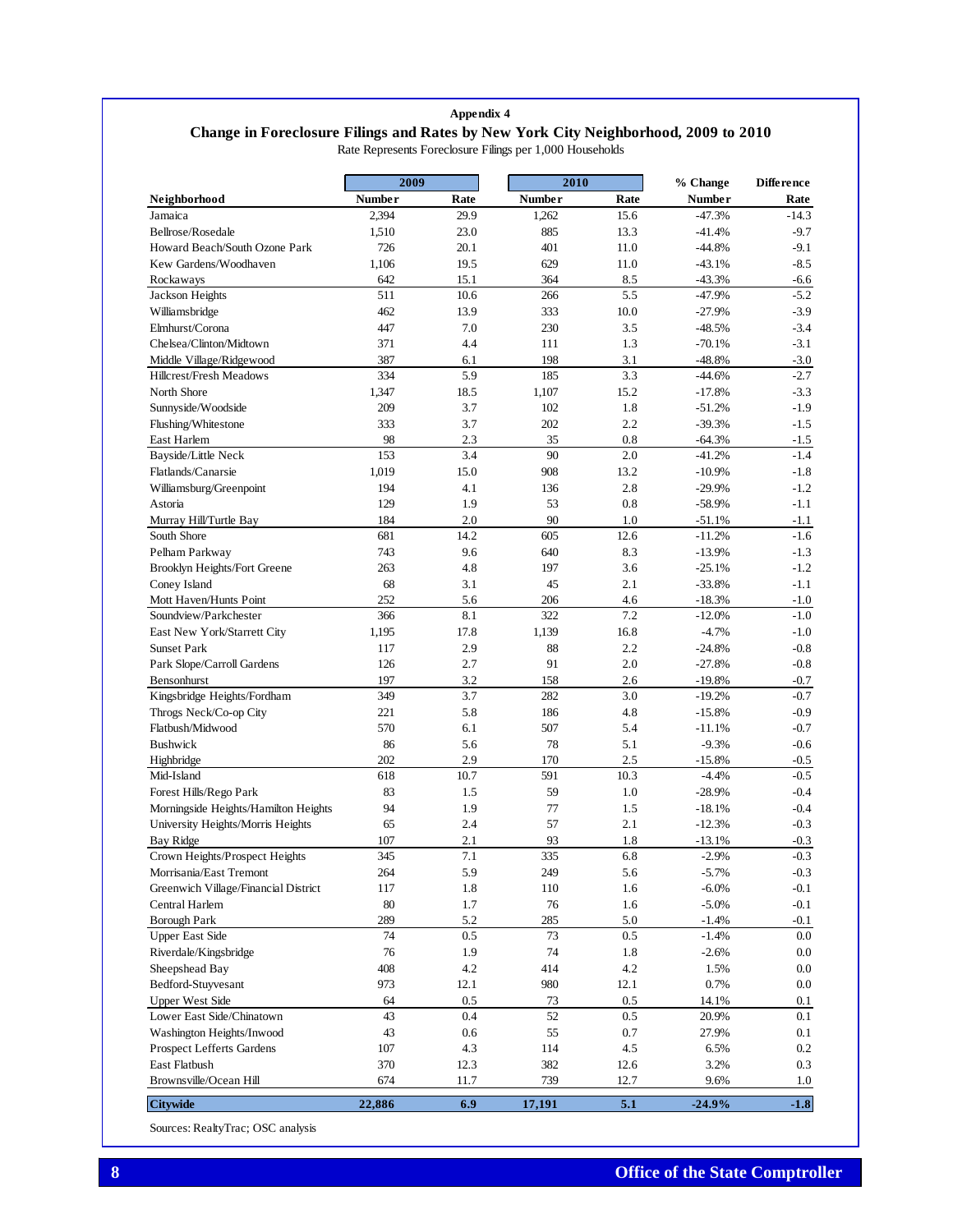## **Appendix 4 Change in Foreclosure Filings and Rates by New York City Neighborhood, 2009 to 2010** Rate Represents Foreclosure Filings per 1,000 Households

|                                      | 2009          |            | 2010          |            | % Change      | <b>Difference</b> |
|--------------------------------------|---------------|------------|---------------|------------|---------------|-------------------|
| Neighborhood                         | <b>Number</b> | Rate       | <b>Number</b> | Rate       | <b>Number</b> | Rate              |
| Jamaica                              | 2,394         | 29.9       | 1,262         | 15.6       | $-47.3%$      | $-14.3$           |
| Bellrose/Rosedale                    | 1,510         | 23.0       | 885           | 13.3       | $-41.4%$      | $-9.7$            |
| Howard Beach/South Ozone Park        | 726           | 20.1       | 401           | 11.0       | $-44.8%$      | $-9.1$            |
| Kew Gardens/Woodhaven                | 1,106         | 19.5       | 629           | 11.0       | $-43.1%$      | $-8.5$            |
| Rockaways                            | 642           | 15.1       | 364           | 8.5        | $-43.3%$      | -6.6              |
| Jackson Heights                      | 511           | 10.6       | 266           | 5.5        | $-47.9%$      | $-5.2$            |
| Williamsbridge                       | 462           | 13.9       | 333           | 10.0       | $-27.9%$      | $-3.9$            |
| Elmhurst/Corona                      | 447           | 7.0        | 230           | 3.5        | $-48.5%$      | $-3.4$            |
| Chelsea/Clinton/Midtown              | 371           | 4.4        | 111           | 1.3        | $-70.1%$      | $-3.1$            |
| Middle Village/Ridgewood             | 387           | 6.1        | 198           | 3.1        | $-48.8%$      | $-3.0$            |
| Hillcrest/Fresh Meadows              | 334           | 5.9        | 185           | 3.3        | $-44.6%$      | $-2.7$            |
| North Shore                          | 1,347         | 18.5       | 1,107         | 15.2       | $-17.8%$      | $-3.3$            |
| Sunnyside/Woodside                   | 209           | 3.7        | 102           | 1.8        | $-51.2%$      | $-1.9$            |
| Flushing/Whitestone                  | 333           | 3.7        | 202           | 2.2        | $-39.3%$      | $-1.5$            |
| East Harlem                          | 98            | 2.3        | 35            | 0.8        | $-64.3%$      | $-1.5$            |
| Bayside/Little Neck                  | 153           | 3.4        | 90            | 2.0        | $-41.2%$      | $-1.4$            |
| Flatlands/Canarsie                   | 1,019         | 15.0       | 908           | 13.2       | $-10.9%$      | $-1.8$            |
| Williamsburg/Greenpoint              | 194           | 4.1        | 136           | 2.8        | $-29.9%$      | $-1.2$            |
| Astoria                              | 129           | 1.9        | 53            | 0.8        | $-58.9%$      | $-1.1$            |
| Murray Hill/Turtle Bay               | 184           | 2.0        | 90            | 1.0        | $-51.1%$      | $-1.1$            |
| South Shore                          | 681           | 14.2       | 605           | 12.6       | $-11.2%$      | $-1.6$            |
| Pelham Parkway                       | 743           | 9.6        | 640           | 8.3        | $-13.9%$      | $-1.3$            |
| Brooklyn Heights/Fort Greene         | 263           | 4.8        | 197           | 3.6        | $-25.1%$      | $-1.2$            |
| Coney Island                         | 68            | 3.1        | 45            | 2.1        | $-33.8%$      | $-1.1$            |
| Mott Haven/Hunts Point               | 252           | 5.6        | 206           | 4.6        | $-18.3%$      | $-1.0$            |
| Soundview/Parkchester                | 366           | 8.1        | 322           | 7.2        | $-12.0%$      | $-1.0$            |
| East New York/Starrett City          | 1,195         | 17.8       | 1,139         | 16.8       | $-4.7%$       | $-1.0$            |
| <b>Sunset Park</b>                   | 117           | 2.9        | 88            | 2.2        | $-24.8%$      | $-0.8$            |
| Park Slope/Carroll Gardens           | 126           | 2.7        | 91            | 2.0        | $-27.8%$      | $-0.8$            |
| Bensonhurst                          | 197           | 3.2        | 158           | 2.6        | $-19.8%$      | $-0.7$            |
| Kingsbridge Heights/Fordham          | 349           | 3.7        | 282           | 3.0        | $-19.2%$      | $-0.7$            |
| Throgs Neck/Co-op City               | 221           | 5.8        | 186           | 4.8        | $-15.8%$      | $-0.9$            |
| Flatbush/Midwood                     | 570           | 6.1        | 507           | 5.4        |               | $-0.7$            |
|                                      |               |            |               |            | -11.1%        |                   |
| <b>Bushwick</b>                      | 86            | 5.6<br>2.9 | 78            | 5.1<br>2.5 | $-9.3%$       | $-0.6$            |
| Highbridge                           | 202           |            | 170           |            | $-15.8%$      | $-0.5$            |
| Mid-Island                           | 618           | 10.7       | 591           | 10.3       | $-4.4%$       | $-0.5$            |
| Forest Hills/Rego Park               | 83            | 1.5        | 59            | 1.0        | $-28.9%$      | $-0.4$            |
| Morningside Heights/Hamilton Heights | 94            | 1.9        | 77            | 1.5        | $-18.1%$      | $-0.4$            |
| University Heights/Morris Heights    | 65            | 2.4        | 57            | 2.1        | $-12.3%$      | $-0.3$            |
| Bay Ridge                            | 107           | 2.1        | 93            | 1.8        | $-13.1%$      | -0.3              |
| Crown Heights/Prospect Heights       | 345           | 7.1        | 335           | 6.8        | $-2.9%$       | $-0.3$            |
| Morrisania/East Tremont              | 264           | 5.9        | 249           | 5.6        | $-5.7%$       | $-0.3$            |
| Greenwich Village/Financial District | 117           | 1.8        | 110           | 1.6        | $-6.0\%$      | $-0.1$            |
| Central Harlem                       | 80            | 1.7        | 76            | 1.6        | $-5.0%$       | $-0.1$            |
| <b>Borough Park</b>                  | 289           | 5.2        | 285           | 5.0        | $-1.4%$       | $-0.1$            |
| <b>Upper East Side</b>               | 74            | 0.5        | 73            | 0.5        | $-1.4%$       | $0.0\,$           |
| Riverdale/Kingsbridge                | $76\,$        | 1.9        | 74            | $1.8\,$    | $-2.6%$       | $0.0\,$           |
| Sheepshead Bay                       | 408           | 4.2        | 414           | 4.2        | 1.5%          | $0.0\,$           |
| Bedford-Stuyvesant                   | 973           | 12.1       | 980           | 12.1       | 0.7%          | $0.0\,$           |
| <b>Upper West Side</b>               | 64            | 0.5        | 73            | 0.5        | 14.1%         | $0.1\,$           |
| Lower East Side/Chinatown            | 43            | 0.4        | 52            | 0.5        | 20.9%         | 0.1               |
| Washington Heights/Inwood            | 43            | 0.6        | 55            | $0.7\,$    | 27.9%         | 0.1               |
| Prospect Lefferts Gardens            | 107           | 4.3        | 114           | 4.5        | 6.5%          | 0.2               |
| East Flatbush                        | 370           | 12.3       | 382           | 12.6       | 3.2%          | 0.3               |
| Brownsville/Ocean Hill               | 674           | 11.7       | 739           | 12.7       | 9.6%          | 1.0               |
| <b>Citywide</b>                      | 22,886        | 6.9        | 17,191        | $5.1\,$    | $-24.9%$      | $-1.8$            |

Sources: RealtyTrac; OSC analysis

Ι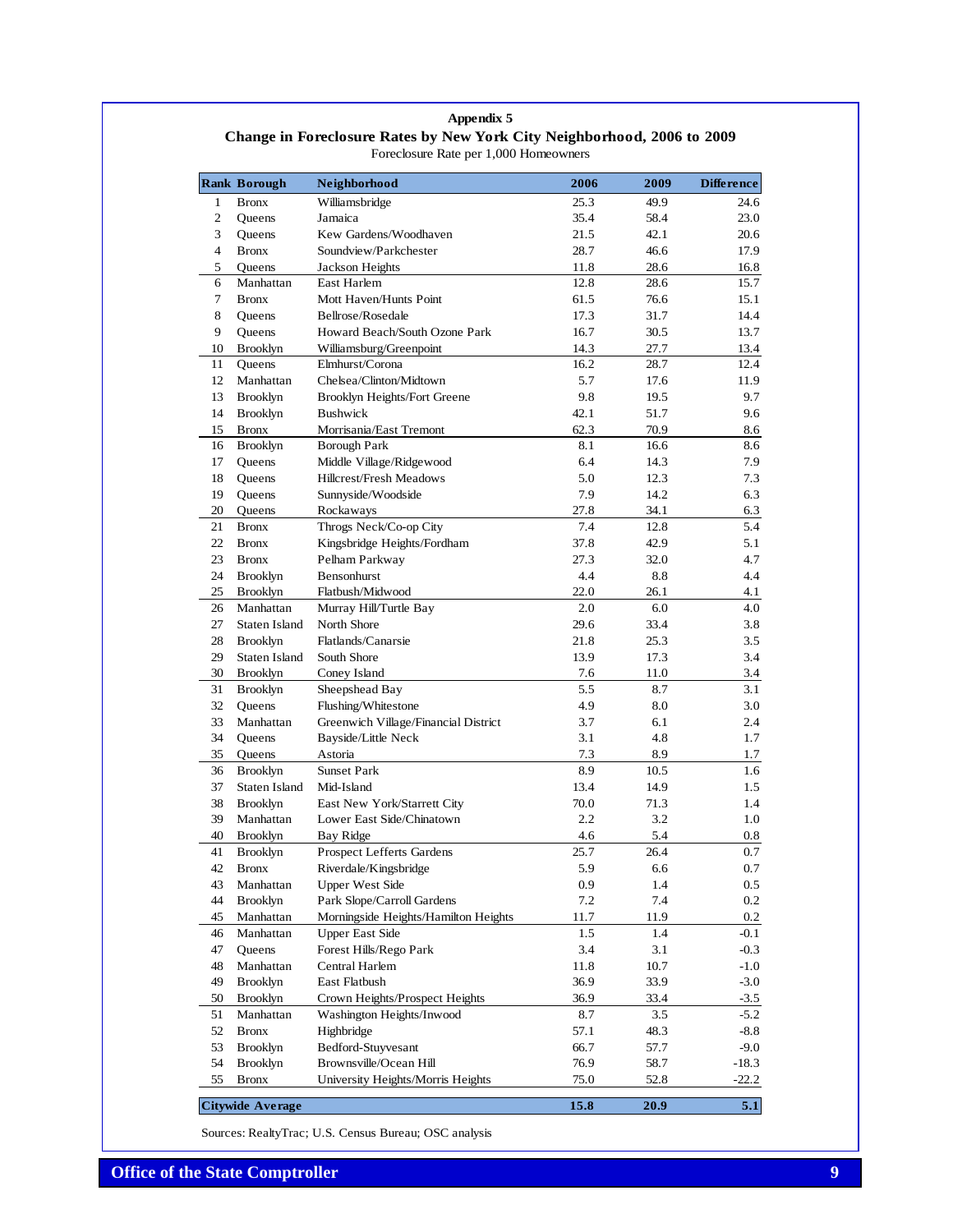### **Appendix 5 Change in Foreclosure Rates by New York City Neighborhood, 2006 to 2009** Foreclosure Rate per 1,000 Homeowners

|        | <b>Rank Borough</b>     | Neighborhood                         | 2006         | 2009 | Difference |
|--------|-------------------------|--------------------------------------|--------------|------|------------|
| 1      | <b>Bronx</b>            | Williamsbridge                       | 25.3         | 49.9 | 24.6       |
| 2      | Oueens                  | Jamaica                              | 35.4         | 58.4 | 23.0       |
| 3      | Queens                  | Kew Gardens/Woodhaven                | 21.5         | 42.1 | 20.6       |
| 4      | <b>Bronx</b>            | Soundview/Parkchester                | 28.7         | 46.6 | 17.9       |
| 5      | Queens                  | Jackson Heights                      | 11.8         | 28.6 | 16.8       |
| 6      | Manhattan               | East Harlem                          | 12.8         | 28.6 | 15.7       |
| 7      | <b>Bronx</b>            | Mott Haven/Hunts Point               | 61.5         | 76.6 | 15.1       |
| 8      | Queens                  | Bellrose/Rosedale                    | 17.3         | 31.7 | 14.4       |
| 9      | Queens                  | Howard Beach/South Ozone Park        | 16.7         | 30.5 | 13.7       |
| 10     | <b>Brooklyn</b>         | Williamsburg/Greenpoint              | 14.3         | 27.7 | 13.4       |
| 11     | Queens                  | Elmhurst/Corona                      | 16.2         | 28.7 | 12.4       |
| 12     | Manhattan               | Chelsea/Clinton/Midtown              | 5.7          | 17.6 | 11.9       |
| 13     | <b>Brooklyn</b>         | Brooklyn Heights/Fort Greene         | 9.8          | 19.5 | 9.7        |
| 14     | <b>Brooklyn</b>         | <b>Bushwick</b>                      | 42.1         | 51.7 | 9.6        |
| 15     | <b>Bronx</b>            | Morrisania/East Tremont              | 62.3         | 70.9 | 8.6        |
| 16     | <b>Brooklyn</b>         | <b>Borough Park</b>                  | 8.1          | 16.6 | 8.6        |
| 17     | Queens                  | Middle Village/Ridgewood             | 6.4          | 14.3 | 7.9        |
| 18     | Queens                  | <b>Hillcrest/Fresh Meadows</b>       | 5.0          | 12.3 | 7.3        |
| 19     | Queens                  | Sunnyside/Woodside                   | 7.9          | 14.2 | 6.3        |
| 20     | Queens                  | Rockaways                            | 27.8         | 34.1 | 6.3        |
| 21     | <b>Bronx</b>            | Throgs Neck/Co-op City               | 7.4          | 12.8 | 5.4        |
| 22     | <b>Bronx</b>            | Kingsbridge Heights/Fordham          | 37.8         | 42.9 | 5.1        |
| 23     | <b>Bronx</b>            | Pelham Parkway                       | 27.3         | 32.0 | 4.7        |
| 24     | <b>Brooklyn</b>         | Bensonhurst                          | 4.4          | 8.8  | 4.4        |
| 25     | <b>Brooklyn</b>         | Flatbush/Midwood                     | 22.0         | 26.1 | 4.1        |
| 26     | Manhattan               | Murray Hill/Turtle Bay               | 2.0          | 6.0  | 4.0        |
| 27     | Staten Island           | North Shore                          | 29.6         | 33.4 | 3.8        |
| 28     | <b>Brooklyn</b>         | Flatlands/Canarsie                   | 21.8         | 25.3 | 3.5        |
| 29     | Staten Island           | South Shore                          | 13.9         | 17.3 | 3.4        |
| 30     | <b>Brooklyn</b>         | Coney Island                         | 7.6          | 11.0 | 3.4        |
| 31     | <b>Brooklyn</b>         | Sheepshead Bay                       | 5.5          | 8.7  | 3.1        |
| 32     | Queens                  | Flushing/Whitestone                  | 4.9          | 8.0  | 3.0        |
| 33     | Manhattan               | Greenwich Village/Financial District | 3.7          | 6.1  | 2.4        |
| 34     | Queens                  | Bayside/Little Neck                  | 3.1          | 4.8  | 1.7        |
| 35     | Queens                  | Astoria                              | 7.3          | 8.9  | 1.7        |
| 36     | <b>Brooklyn</b>         | <b>Sunset Park</b>                   | 8.9          | 10.5 | 1.6        |
| 37     | Staten Island           | Mid-Island                           | 13.4         | 14.9 | 1.5        |
| 38     | <b>Brooklyn</b>         | East New York/Starrett City          | 70.0         | 71.3 | 1.4        |
| 39     | Manhattan               | Lower East Side/Chinatown            | 2.2          | 3.2  | 1.0        |
| 40     | <b>Brooklyn</b>         | <b>Bay Ridge</b>                     | 4.6          | 5.4  | $0.8\,$    |
| 41     | <b>Brooklyn</b>         | <b>Prospect Lefferts Gardens</b>     | 25.7         | 26.4 | 0.7        |
| $42\,$ | <b>Bronx</b>            | Riverdale/Kingsbridge                | 5.9          | 6.6  | $0.7\,$    |
| 43     | Manhattan               | <b>Upper West Side</b>               | 0.9          | 1.4  | $0.5\,$    |
| 44     | <b>Brooklyn</b>         | Park Slope/Carroll Gardens           | 7.2          | 7.4  | $0.2\,$    |
| 45     | Manhattan               | Morningside Heights/Hamilton Heights | 11.7         | 11.9 | 0.2        |
| 46     | Manhattan               | <b>Upper East Side</b>               | 1.5          | 1.4  | -0.1       |
| 47     | Queens                  | Forest Hills/Rego Park               | 3.4          | 3.1  | $-0.3$     |
| 48     | Manhattan               | Central Harlem                       |              | 10.7 | $-1.0$     |
| 49     | <b>Brooklyn</b>         | East Flatbush                        | 11.8<br>36.9 | 33.9 | $-3.0$     |
|        | <b>Brooklyn</b>         | Crown Heights/Prospect Heights       | 36.9         | 33.4 | $-3.5$     |
| 50     | Manhattan               | Washington Heights/Inwood            | 8.7          | 3.5  | $-5.2$     |
| 51     |                         |                                      |              |      |            |
| 52     | <b>Bronx</b>            | Highbridge                           | 57.1         | 48.3 | $-8.8$     |
| 53     | <b>Brooklyn</b>         | Bedford-Stuyvesant                   | 66.7         | 57.7 | $-9.0$     |
| 54     | <b>Brooklyn</b>         | Brownsville/Ocean Hill               | 76.9         | 58.7 | $-18.3$    |
| 55     | <b>Bronx</b>            | University Heights/Morris Heights    | 75.0         | 52.8 | $-22.2$    |
|        | <b>Citywide Average</b> |                                      | 15.8         | 20.9 | 5.1        |

Sources: RealtyTrac; U.S. Census Bureau; OSC analysis

I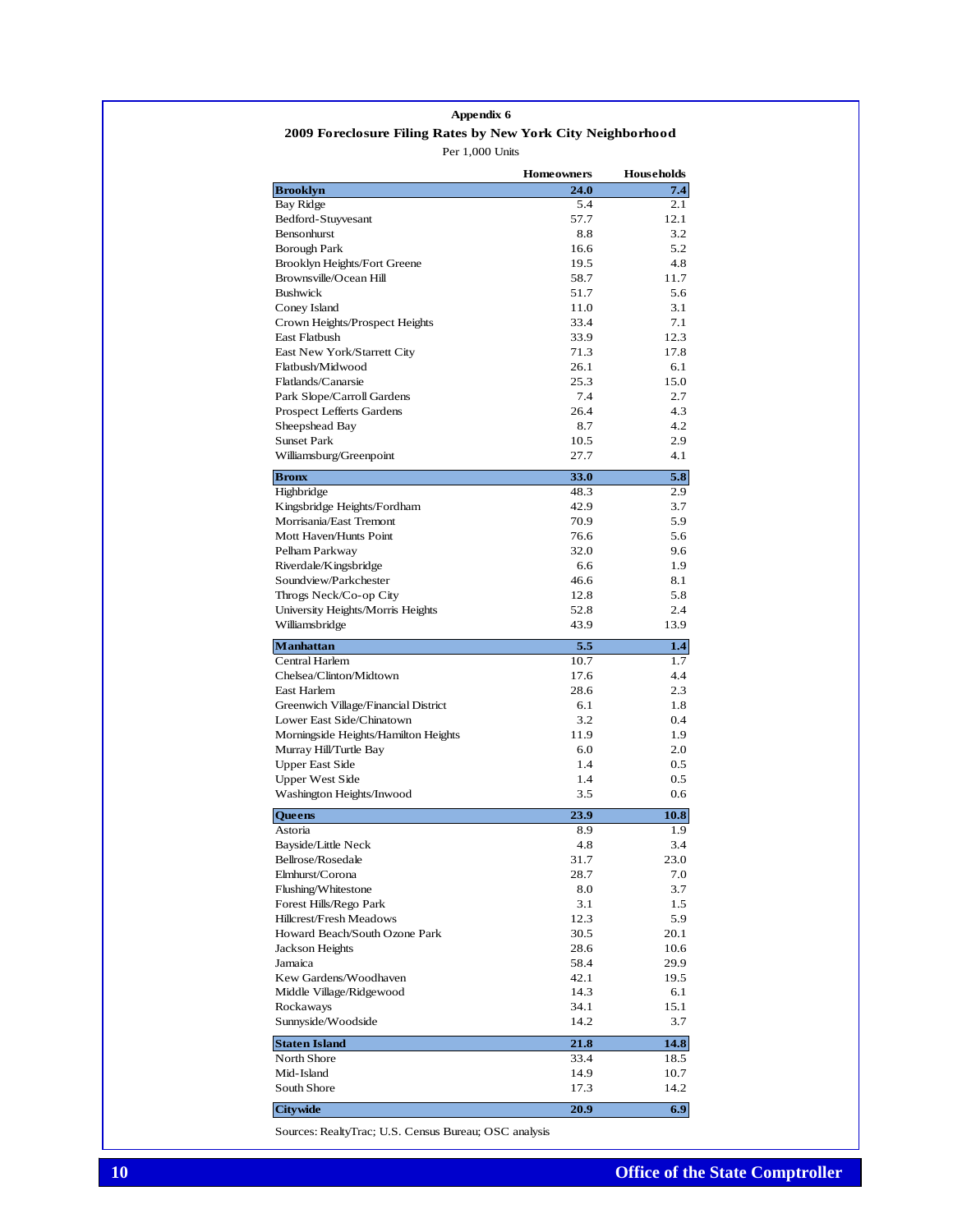### Per 1,000 Units **2009 Foreclosure Filing Rates by New York City Neighborhood Appendix 6**

**Homeowners** Households **Homeowners Brooklyn** 24.0 **24.0** 7.4 Bay Ridge 5.4 2.1 Bedford-Stuyvesant 57.7 12.1 Bensonhurst 8.8 3.2 Borough Park 16.6 5.2 Brooklyn Heights/Fort Greene 19.5 4.8 Brownsville/Ocean Hill 58.7 11.7 Bushwick 51.7 5.6 Coney Island 11.0 3.1 Crown Heights/Prospect Heights 33.4 7.1<br>
East Flatbush 33.9 12.3 East Flatbush East New York/Starrett City 71.3 17.8 Flatbush/Midwood 26.1 6.1 Flatlands/Canarsie 25.3 15.0 Park Slope/Carroll Gardens 7.4 2.7 Prospect Lefferts Gardens 26.4 4.3 Sheepshead Bay  $8.7$  4.2 Sunset Park 10.5 2.9 Williamsburg/Greenpoint 27.7 4.1 **Bronx** 33.0 5.8 Highbridge 48.3 2.9 Kingsbridge Heights/Fordham 42.9 3.7 Morrisania/East Tremont 70.9 5.9 Mott Haven/Hunts Point 76.6 5.6 Pelham Parkway 32.0 9.6 Riverdale/Kingsbridge 6.6 1.9 Soundview/Parkchester 46.6 8.1 Throgs Neck/Co-op City 12.8 5.8 University Heights/Morris Heights 52.8 2.4 Williamsbridge 13.9 13.9 **Manhattan 5.5 1.4** Central Harlem 10.7 1.7 Chelsea/Clinton/Midtown 17.6 4.4 East Harlem 28.6 2.3 Greenwich Village/Financial District 6.1 6.1 1.8 Lower East Side/Chinatown 3.2 0.4 Morningside Heights/Hamilton Heights 11.9 1.9 Murray Hill/Turtle Bay 6.0 2.0 Upper East Side 1.4 0.5 Upper West Side 1.4 0.5 Washington Heights/Inwood 3.5 0.6 **Queens** 23.9 10.8 Astoria 1.9 Bayside/Little Neck 4.8 3.4 Bellrose/Rosedale 31.7 23.0 Elmhurst/Corona 28.7 7.0 Flushing/Whitestone 8.0 3.7 Forest Hills/Rego Park 3.1 1.5 Hillcrest/Fresh Meadows 12.3 5.9 Howard Beach/South Ozone Park 30.5 20.1 Jackson Heights 28.6 10.6 Jamaica 58.4 29.9 Kew Gardens/Woodhaven 42.1 19.5 Middle Village/Ridgewood 14.3 6.1 Rockaways 34.1 15.1 Sunnyside/Woodside 14.2 3.7 **Staten Island** 21.8 14.8 North Shore 33.4 18.5 Mid-Island 14.9 10.7 South Shore 17.3 14.2 **Citywide 20.9 6.9** 

Sources: RealtyTrac; U.S. Census Bureau; OSC analysis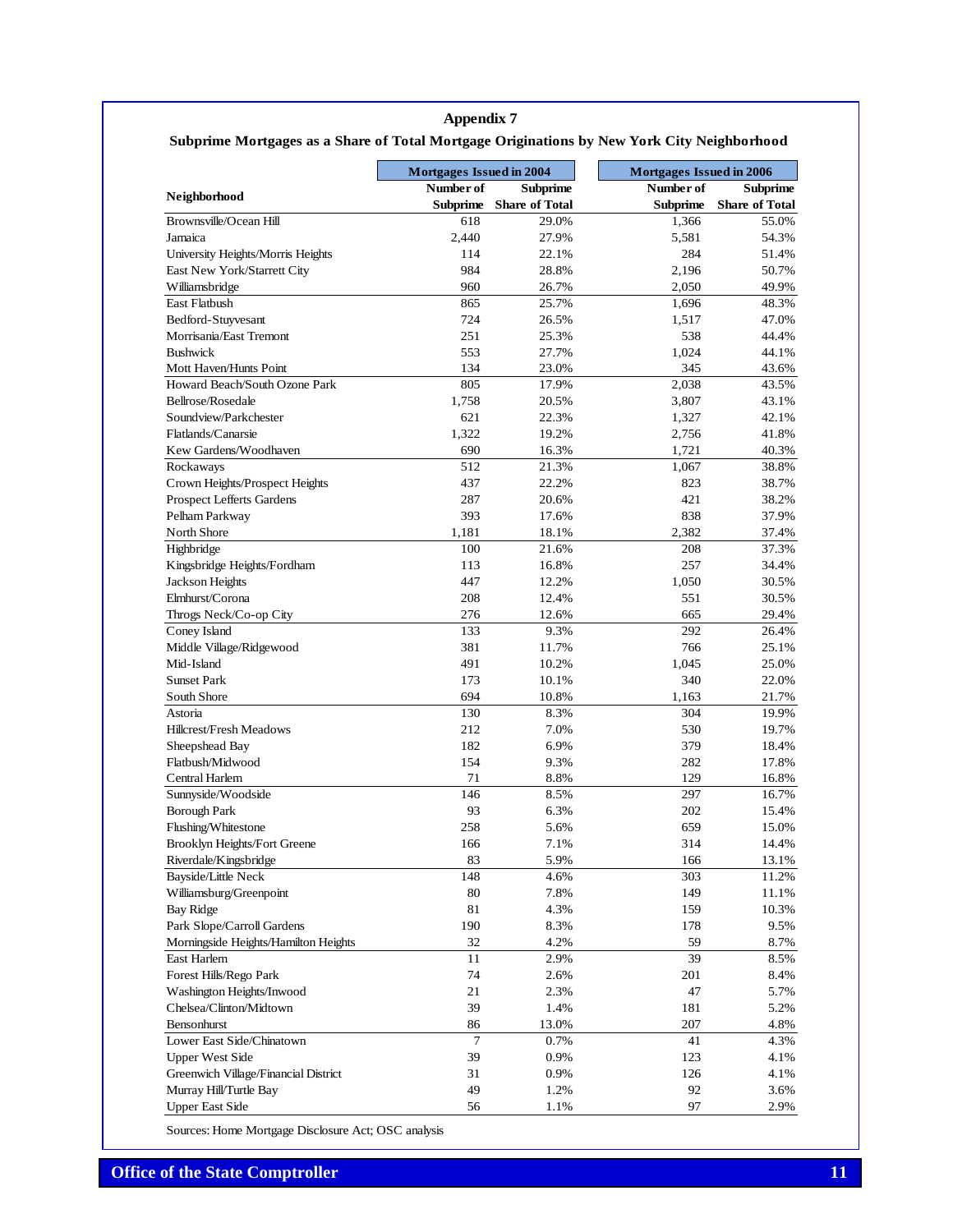## **Appendix 7**

# **Subprime Mortgages as a Share of Total Mortgage Originations by New York City Neighborhood**

|                                      | <b>Mortgages Issued in 2004</b> |                       | Mortgages Issued in 2006 |                       |  |
|--------------------------------------|---------------------------------|-----------------------|--------------------------|-----------------------|--|
| Neighborhood                         | Number of                       | <b>Subprime</b>       | Number of                | <b>Subprime</b>       |  |
|                                      | Subprime                        | <b>Share of Total</b> | Subprime                 | <b>Share of Total</b> |  |
| Brownsville/Ocean Hill<br>Jamaica    | 618<br>2,440                    | 29.0%<br>27.9%        | 1,366                    | 55.0%<br>54.3%        |  |
|                                      | 114                             | 22.1%                 | 5,581<br>284             | 51.4%                 |  |
| University Heights/Morris Heights    | 984                             | 28.8%                 | 2,196                    | 50.7%                 |  |
| East New York/Starrett City          | 960                             |                       |                          |                       |  |
| Williamsbridge<br>East Flatbush      | 865                             | 26.7%<br>25.7%        | 2,050<br>1,696           | 49.9%<br>48.3%        |  |
| Bedford-Stuyvesant                   | 724                             | 26.5%                 | 1,517                    | 47.0%                 |  |
| Morrisania/East Tremont              | 251                             | 25.3%                 | 538                      | 44.4%                 |  |
| <b>Bushwick</b>                      | 553                             | 27.7%                 | 1,024                    | 44.1%                 |  |
| Mott Haven/Hunts Point               | 134                             | 23.0%                 | 345                      | 43.6%                 |  |
| Howard Beach/South Ozone Park        | 805                             | 17.9%                 | 2,038                    | 43.5%                 |  |
| Bellrose/Rosedale                    | 1,758                           | 20.5%                 | 3,807                    | 43.1%                 |  |
| Soundview/Parkchester                | 621                             | 22.3%                 | 1,327                    | 42.1%                 |  |
| Flatlands/Canarsie                   | 1,322                           | 19.2%                 | 2,756                    | 41.8%                 |  |
| Kew Gardens/Woodhaven                | 690                             | 16.3%                 | 1,721                    | 40.3%                 |  |
| Rockaways                            | 512                             | 21.3%                 | 1,067                    | 38.8%                 |  |
| Crown Heights/Prospect Heights       | 437                             | 22.2%                 | 823                      | 38.7%                 |  |
| <b>Prospect Lefferts Gardens</b>     | 287                             | 20.6%                 | 421                      | 38.2%                 |  |
| Pelham Parkway                       | 393                             | 17.6%                 | 838                      | 37.9%                 |  |
| North Shore                          | 1,181                           | 18.1%                 | 2.382                    | 37.4%                 |  |
| Highbridge                           | 100                             | 21.6%                 | 208                      | 37.3%                 |  |
| Kingsbridge Heights/Fordham          | 113                             | 16.8%                 | 257                      | 34.4%                 |  |
| Jackson Heights                      | 447                             | 12.2%                 | 1,050                    | 30.5%                 |  |
| Elmhurst/Corona                      | 208                             | 12.4%                 | 551                      | 30.5%                 |  |
| Throgs Neck/Co-op City               | 276                             | 12.6%                 | 665                      | 29.4%                 |  |
| Coney Island                         | 133                             | 9.3%                  | 292                      | 26.4%                 |  |
| Middle Village/Ridgewood             | 381                             | 11.7%                 | 766                      | 25.1%                 |  |
| Mid-Island                           | 491                             | 10.2%                 | 1,045                    | 25.0%                 |  |
| <b>Sunset Park</b>                   | 173                             | 10.1%                 | 340                      | 22.0%                 |  |
| South Shore                          | 694                             | 10.8%                 | 1,163                    | 21.7%                 |  |
| Astoria                              | 130                             | 8.3%                  | 304                      | 19.9%                 |  |
| <b>Hillcrest/Fresh Meadows</b>       | 212                             | 7.0%                  | 530                      | 19.7%                 |  |
| Sheepshead Bay                       | 182                             | 6.9%                  | 379                      | 18.4%                 |  |
| Flatbush/Midwood                     | 154                             | 9.3%                  | 282                      | 17.8%                 |  |
| Central Harlem                       | 71                              | 8.8%                  | 129                      | 16.8%                 |  |
| Sunnyside/Woodside                   | 146                             | 8.5%                  | 297                      | 16.7%                 |  |
| <b>Borough Park</b>                  | 93                              | 6.3%                  | 202                      | 15.4%                 |  |
| Flushing/Whitestone                  | 258                             | 5.6%                  | 659                      | 15.0%                 |  |
| Brooklyn Heights/Fort Greene         | 166                             | 7.1%                  | 314                      | 14.4%                 |  |
| Riverdale/Kingsbridge                | 83                              | 5.9%                  | 166                      | 13.1%                 |  |
| Bayside/Little Neck                  | 148                             | 4.6%                  | 303                      | 11.2%                 |  |
| Williamsburg/Greenpoint              | 80                              | 7.8%                  | 149                      | 11.1%                 |  |
| <b>Bay Ridge</b>                     | $81\,$                          | 4.3%                  | 159                      | 10.3%                 |  |
| Park Slope/Carroll Gardens           | 190                             | 8.3%                  | 178                      | 9.5%                  |  |
| Morningside Heights/Hamilton Heights | 32                              | 4.2%                  | 59                       | 8.7%                  |  |
| East Harlem                          | 11                              | 2.9%                  | 39                       | 8.5%                  |  |
| Forest Hills/Rego Park               | 74                              | 2.6%                  | 201                      | 8.4%                  |  |
| Washington Heights/Inwood            | 21                              | 2.3%                  | 47                       | 5.7%                  |  |
| Chelsea/Clinton/Midtown              | 39                              | 1.4%                  | 181                      | 5.2%                  |  |
| Bensonhurst                          | 86                              | 13.0%                 | 207                      | 4.8%                  |  |
| Lower East Side/Chinatown            | 7                               | 0.7%                  | 41                       | 4.3%                  |  |
| <b>Upper West Side</b>               | 39                              | 0.9%                  | 123                      | 4.1%                  |  |
| Greenwich Village/Financial District | 31                              | 0.9%                  | 126                      | 4.1%                  |  |
| Murray Hill/Turtle Bay               | 49                              | 1.2%                  | 92                       | 3.6%                  |  |
| <b>Upper East Side</b>               | 56                              | 1.1%                  | 97                       | 2.9%                  |  |
|                                      |                                 |                       |                          |                       |  |

Sources: Home Mortgage Disclosure Act; OSC analysis